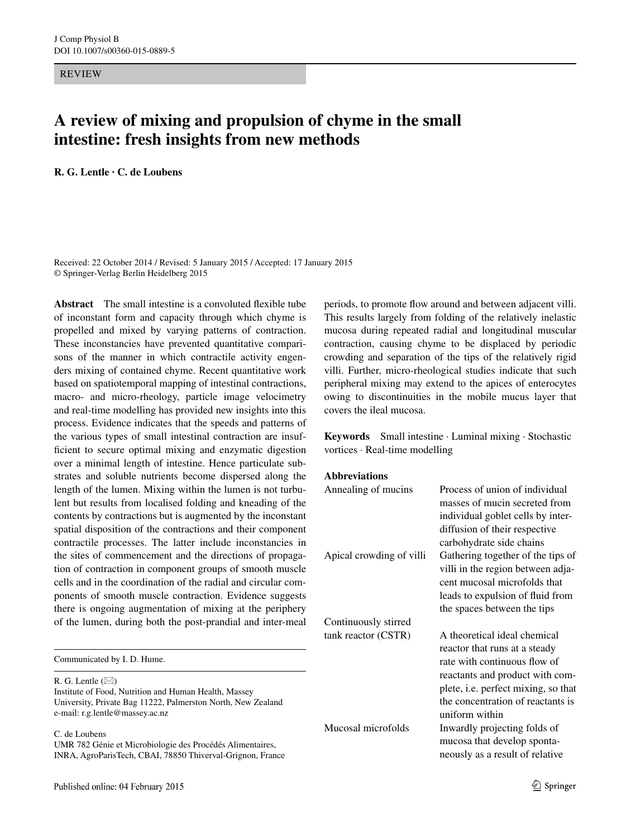REVIEW

# **A review of mixing and propulsion of chyme in the small intestine: fresh insights from new methods**

**R. G. Lentle · C. de Loubens**

Received: 22 October 2014 / Revised: 5 January 2015 / Accepted: 17 January 2015 © Springer-Verlag Berlin Heidelberg 2015

**Abstract** The small intestine is a convoluted flexible tube of inconstant form and capacity through which chyme is propelled and mixed by varying patterns of contraction. These inconstancies have prevented quantitative comparisons of the manner in which contractile activity engenders mixing of contained chyme. Recent quantitative work based on spatiotemporal mapping of intestinal contractions, macro- and micro-rheology, particle image velocimetry and real-time modelling has provided new insights into this process. Evidence indicates that the speeds and patterns of the various types of small intestinal contraction are insufficient to secure optimal mixing and enzymatic digestion over a minimal length of intestine. Hence particulate substrates and soluble nutrients become dispersed along the length of the lumen. Mixing within the lumen is not turbulent but results from localised folding and kneading of the contents by contractions but is augmented by the inconstant spatial disposition of the contractions and their component contractile processes. The latter include inconstancies in the sites of commencement and the directions of propagation of contraction in component groups of smooth muscle cells and in the coordination of the radial and circular components of smooth muscle contraction. Evidence suggests there is ongoing augmentation of mixing at the periphery of the lumen, during both the post-prandial and inter-meal

Communicated by I. D. Hume.

R. G. Lentle  $(\boxtimes)$ Institute of Food, Nutrition and Human Health, Massey University, Private Bag 11222, Palmerston North, New Zealand e-mail: r.g.lentle@massey.ac.nz

C. de Loubens

UMR 782 Génie et Microbiologie des Procédés Alimentaires, INRA, AgroParisTech, CBAI, 78850 Thiverval-Grignon, France periods, to promote flow around and between adjacent villi. This results largely from folding of the relatively inelastic mucosa during repeated radial and longitudinal muscular contraction, causing chyme to be displaced by periodic crowding and separation of the tips of the relatively rigid villi. Further, micro-rheological studies indicate that such peripheral mixing may extend to the apices of enterocytes owing to discontinuities in the mobile mucus layer that covers the ileal mucosa.

**Keywords** Small intestine · Luminal mixing · Stochastic vortices · Real-time modelling

#### **Abbreviations**

| Annealing of mucins      | Process of union of individual<br>masses of mucin secreted from<br>individual goblet cells by inter-<br>diffusion of their respective<br>carbohydrate side chains |
|--------------------------|-------------------------------------------------------------------------------------------------------------------------------------------------------------------|
| Apical crowding of villi | Gathering together of the tips of<br>villi in the region between adja-<br>cent mucosal microfolds that                                                            |
|                          | leads to expulsion of fluid from                                                                                                                                  |
|                          | the spaces between the tips                                                                                                                                       |
| Continuously stirred     |                                                                                                                                                                   |
| tank reactor (CSTR)      | A theoretical ideal chemical                                                                                                                                      |
|                          | reactor that runs at a steady                                                                                                                                     |
|                          | rate with continuous flow of                                                                                                                                      |
|                          | reactants and product with com-                                                                                                                                   |
|                          | plete, i.e. perfect mixing, so that                                                                                                                               |
|                          | the concentration of reactants is<br>uniform within                                                                                                               |
| Mucosal microfolds       | Inwardly projecting folds of                                                                                                                                      |
|                          | mucosa that develop sponta-                                                                                                                                       |
|                          | neously as a result of relative                                                                                                                                   |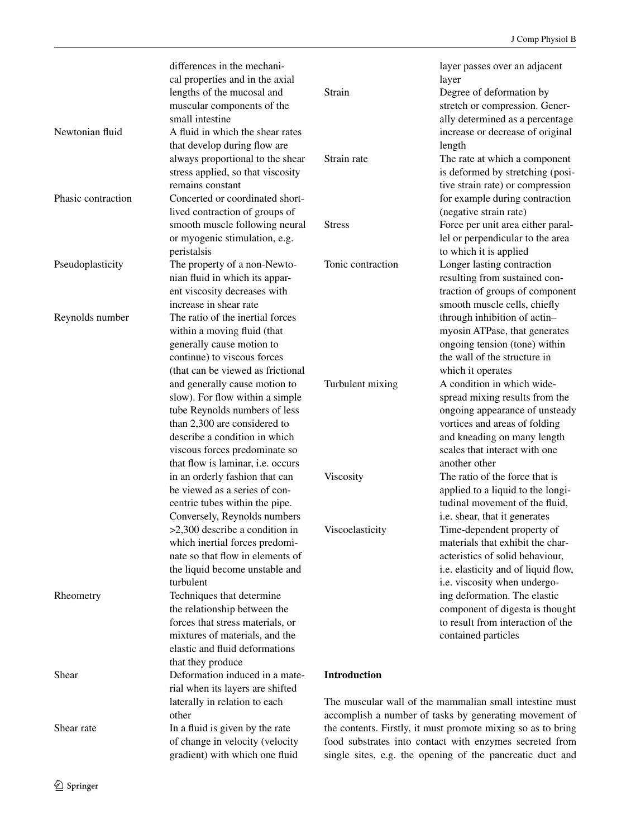|                    | differences in the mechani-              |                                                              | layer passes over an adjacent                             |
|--------------------|------------------------------------------|--------------------------------------------------------------|-----------------------------------------------------------|
|                    | cal properties and in the axial          |                                                              | layer                                                     |
|                    | lengths of the mucosal and               | Strain                                                       | Degree of deformation by                                  |
|                    | muscular components of the               |                                                              | stretch or compression. Gener-                            |
|                    | small intestine                          |                                                              | ally determined as a percentage                           |
| Newtonian fluid    | A fluid in which the shear rates         |                                                              | increase or decrease of original                          |
|                    | that develop during flow are             |                                                              | length                                                    |
|                    | always proportional to the shear         | Strain rate                                                  | The rate at which a component                             |
|                    | stress applied, so that viscosity        |                                                              | is deformed by stretching (posi-                          |
|                    | remains constant                         |                                                              | tive strain rate) or compression                          |
|                    |                                          |                                                              |                                                           |
| Phasic contraction | Concerted or coordinated short-          |                                                              | for example during contraction                            |
|                    | lived contraction of groups of           |                                                              | (negative strain rate)                                    |
|                    | smooth muscle following neural           | <b>Stress</b>                                                | Force per unit area either paral-                         |
|                    | or myogenic stimulation, e.g.            |                                                              | lel or perpendicular to the area                          |
|                    | peristalsis                              |                                                              | to which it is applied                                    |
| Pseudoplasticity   | The property of a non-Newto-             | Tonic contraction                                            | Longer lasting contraction                                |
|                    | nian fluid in which its appar-           |                                                              | resulting from sustained con-                             |
|                    | ent viscosity decreases with             |                                                              | traction of groups of component                           |
|                    | increase in shear rate                   |                                                              | smooth muscle cells, chiefly                              |
| Reynolds number    | The ratio of the inertial forces         |                                                              | through inhibition of actin-                              |
|                    | within a moving fluid (that              |                                                              | myosin ATPase, that generates                             |
|                    | generally cause motion to                |                                                              | ongoing tension (tone) within                             |
|                    | continue) to viscous forces              |                                                              | the wall of the structure in                              |
|                    | (that can be viewed as frictional        |                                                              | which it operates                                         |
|                    | and generally cause motion to            | Turbulent mixing                                             | A condition in which wide-                                |
|                    | slow). For flow within a simple          |                                                              | spread mixing results from the                            |
|                    | tube Reynolds numbers of less            |                                                              | ongoing appearance of unsteady                            |
|                    | than 2,300 are considered to             |                                                              |                                                           |
|                    |                                          |                                                              | vortices and areas of folding                             |
|                    | describe a condition in which            |                                                              | and kneading on many length                               |
|                    | viscous forces predominate so            |                                                              | scales that interact with one                             |
|                    | that flow is laminar, <i>i.e.</i> occurs |                                                              | another other                                             |
|                    | in an orderly fashion that can           | Viscosity                                                    | The ratio of the force that is                            |
|                    | be viewed as a series of con-            |                                                              | applied to a liquid to the longi-                         |
|                    | centric tubes within the pipe.           |                                                              | tudinal movement of the fluid,                            |
|                    | Conversely, Reynolds numbers             |                                                              | i.e. shear, that it generates                             |
|                    | $>2,300$ describe a condition in         | Viscoelasticity                                              | Time-dependent property of                                |
|                    | which inertial forces predomi-           |                                                              | materials that exhibit the char-                          |
|                    | nate so that flow in elements of         |                                                              | acteristics of solid behaviour,                           |
|                    | the liquid become unstable and           |                                                              | i.e. elasticity and of liquid flow,                       |
|                    | turbulent                                |                                                              | i.e. viscosity when undergo-                              |
| Rheometry          | Techniques that determine                |                                                              | ing deformation. The elastic                              |
|                    | the relationship between the             |                                                              | component of digesta is thought                           |
|                    | forces that stress materials, or         |                                                              | to result from interaction of the                         |
|                    | mixtures of materials, and the           |                                                              | contained particles                                       |
|                    | elastic and fluid deformations           |                                                              |                                                           |
|                    | that they produce                        |                                                              |                                                           |
| Shear              | Deformation induced in a mate-           | <b>Introduction</b>                                          |                                                           |
|                    |                                          |                                                              |                                                           |
|                    | rial when its layers are shifted         |                                                              |                                                           |
|                    | laterally in relation to each            |                                                              | The muscular wall of the mammalian small intestine must   |
|                    | other                                    |                                                              | accomplish a number of tasks by generating movement of    |
| Shear rate         | In a fluid is given by the rate          | the contents. Firstly, it must promote mixing so as to bring |                                                           |
|                    | of change in velocity (velocity          |                                                              | food substrates into contact with enzymes secreted from   |
|                    | gradient) with which one fluid           |                                                              | single sites, e.g. the opening of the pancreatic duct and |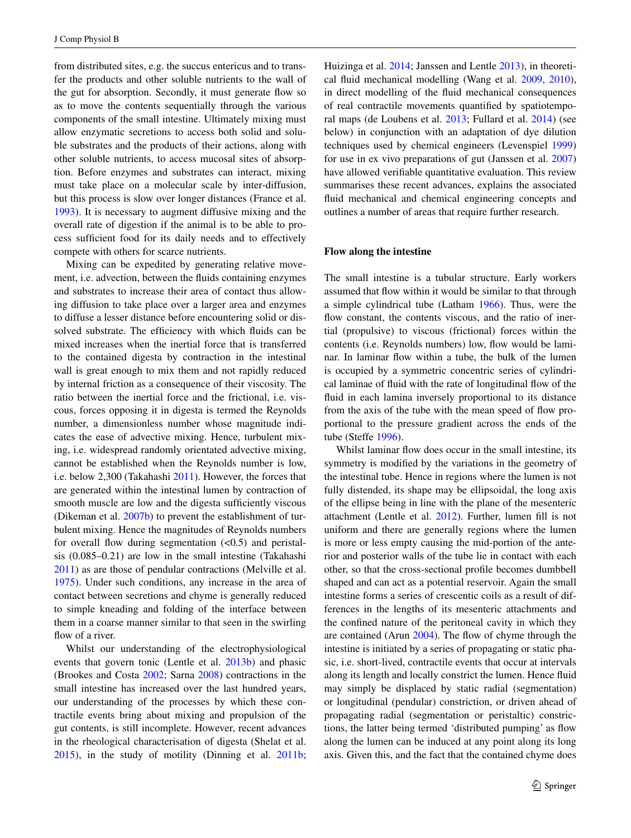from distributed sites, e.g. the succus entericus and to transfer the products and other soluble nutrients to the wall of the gut for absorption. Secondly, it must generate flow so as to move the contents sequentially through the various components of the small intestine. Ultimately mixing must allow enzymatic secretions to access both solid and soluble substrates and the products of their actions, along with other soluble nutrients, to access mucosal sites of absorption. Before enzymes and substrates can interact, mixing must take place on a molecular scale by inter-diffusion, but this process is slow over longer distances (France et al. [1993](#page-16-0)). It is necessary to augment diffusive mixing and the overall rate of digestion if the animal is to be able to process sufficient food for its daily needs and to effectively compete with others for scarce nutrients.

Mixing can be expedited by generating relative movement, i.e. advection, between the fluids containing enzymes and substrates to increase their area of contact thus allowing diffusion to take place over a larger area and enzymes to diffuse a lesser distance before encountering solid or dissolved substrate. The efficiency with which fluids can be mixed increases when the inertial force that is transferred to the contained digesta by contraction in the intestinal wall is great enough to mix them and not rapidly reduced by internal friction as a consequence of their viscosity. The ratio between the inertial force and the frictional, i.e. viscous, forces opposing it in digesta is termed the Reynolds number, a dimensionless number whose magnitude indicates the ease of advective mixing. Hence, turbulent mixing, i.e. widespread randomly orientated advective mixing, cannot be established when the Reynolds number is low, i.e. below 2,300 (Takahashi [2011\)](#page-18-0). However, the forces that are generated within the intestinal lumen by contraction of smooth muscle are low and the digesta sufficiently viscous (Dikeman et al. [2007b](#page-16-1)) to prevent the establishment of turbulent mixing. Hence the magnitudes of Reynolds numbers for overall flow during segmentation  $( $0.5$ )$  and peristalsis (0.085–0.21) are low in the small intestine (Takahashi [2011](#page-18-0)) as are those of pendular contractions (Melville et al. [1975](#page-17-0)). Under such conditions, any increase in the area of contact between secretions and chyme is generally reduced to simple kneading and folding of the interface between them in a coarse manner similar to that seen in the swirling flow of a river.

Whilst our understanding of the electrophysiological events that govern tonic (Lentle et al. [2013b\)](#page-17-1) and phasic (Brookes and Costa [2002;](#page-15-0) Sarna [2008\)](#page-18-1) contractions in the small intestine has increased over the last hundred years, our understanding of the processes by which these contractile events bring about mixing and propulsion of the gut contents, is still incomplete. However, recent advances in the rheological characterisation of digesta (Shelat et al. [2015](#page-18-2)), in the study of motility (Dinning et al. [2011b](#page-16-2); Huizinga et al. [2014;](#page-16-3) Janssen and Lentle [2013](#page-16-4)), in theoretical fluid mechanical modelling (Wang et al. [2009](#page-18-3), [2010](#page-18-4)), in direct modelling of the fluid mechanical consequences of real contractile movements quantified by spatiotemporal maps (de Loubens et al. [2013;](#page-15-1) Fullard et al. [2014\)](#page-16-5) (see below) in conjunction with an adaptation of dye dilution techniques used by chemical engineers (Levenspiel [1999\)](#page-17-2) for use in ex vivo preparations of gut (Janssen et al. [2007\)](#page-16-6) have allowed verifiable quantitative evaluation. This review summarises these recent advances, explains the associated fluid mechanical and chemical engineering concepts and outlines a number of areas that require further research.

#### **Flow along the intestine**

The small intestine is a tubular structure. Early workers assumed that flow within it would be similar to that through a simple cylindrical tube (Latham [1966\)](#page-17-3). Thus, were the flow constant, the contents viscous, and the ratio of inertial (propulsive) to viscous (frictional) forces within the contents (i.e. Reynolds numbers) low, flow would be laminar. In laminar flow within a tube, the bulk of the lumen is occupied by a symmetric concentric series of cylindrical laminae of fluid with the rate of longitudinal flow of the fluid in each lamina inversely proportional to its distance from the axis of the tube with the mean speed of flow proportional to the pressure gradient across the ends of the tube (Steffe [1996](#page-18-5)).

Whilst laminar flow does occur in the small intestine, its symmetry is modified by the variations in the geometry of the intestinal tube. Hence in regions where the lumen is not fully distended, its shape may be ellipsoidal, the long axis of the ellipse being in line with the plane of the mesenteric attachment (Lentle et al. [2012\)](#page-17-4). Further, lumen fill is not uniform and there are generally regions where the lumen is more or less empty causing the mid-portion of the anterior and posterior walls of the tube lie in contact with each other, so that the cross-sectional profile becomes dumbbell shaped and can act as a potential reservoir. Again the small intestine forms a series of crescentic coils as a result of differences in the lengths of its mesenteric attachments and the confined nature of the peritoneal cavity in which they are contained (Arun [2004\)](#page-15-2). The flow of chyme through the intestine is initiated by a series of propagating or static phasic, i.e. short-lived, contractile events that occur at intervals along its length and locally constrict the lumen. Hence fluid may simply be displaced by static radial (segmentation) or longitudinal (pendular) constriction, or driven ahead of propagating radial (segmentation or peristaltic) constrictions, the latter being termed 'distributed pumping' as flow along the lumen can be induced at any point along its long axis. Given this, and the fact that the contained chyme does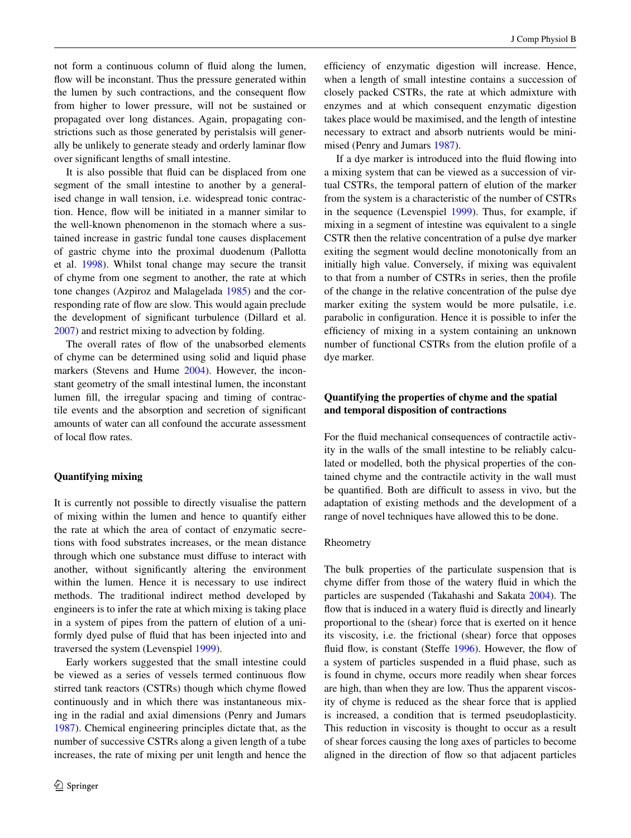not form a continuous column of fluid along the lumen, flow will be inconstant. Thus the pressure generated within the lumen by such contractions, and the consequent flow from higher to lower pressure, will not be sustained or propagated over long distances. Again, propagating constrictions such as those generated by peristalsis will generally be unlikely to generate steady and orderly laminar flow over significant lengths of small intestine.

It is also possible that fluid can be displaced from one segment of the small intestine to another by a generalised change in wall tension, i.e. widespread tonic contraction. Hence, flow will be initiated in a manner similar to the well-known phenomenon in the stomach where a sustained increase in gastric fundal tone causes displacement of gastric chyme into the proximal duodenum (Pallotta et al. [1998](#page-17-5)). Whilst tonal change may secure the transit of chyme from one segment to another, the rate at which tone changes (Azpiroz and Malagelada [1985](#page-15-3)) and the corresponding rate of flow are slow. This would again preclude the development of significant turbulence (Dillard et al. [2007](#page-16-7)) and restrict mixing to advection by folding.

The overall rates of flow of the unabsorbed elements of chyme can be determined using solid and liquid phase markers (Stevens and Hume [2004\)](#page-18-6). However, the inconstant geometry of the small intestinal lumen, the inconstant lumen fill, the irregular spacing and timing of contractile events and the absorption and secretion of significant amounts of water can all confound the accurate assessment of local flow rates.

# **Quantifying mixing**

It is currently not possible to directly visualise the pattern of mixing within the lumen and hence to quantify either the rate at which the area of contact of enzymatic secretions with food substrates increases, or the mean distance through which one substance must diffuse to interact with another, without significantly altering the environment within the lumen. Hence it is necessary to use indirect methods. The traditional indirect method developed by engineers is to infer the rate at which mixing is taking place in a system of pipes from the pattern of elution of a uniformly dyed pulse of fluid that has been injected into and traversed the system (Levenspiel [1999](#page-17-2)).

Early workers suggested that the small intestine could be viewed as a series of vessels termed continuous flow stirred tank reactors (CSTRs) though which chyme flowed continuously and in which there was instantaneous mixing in the radial and axial dimensions (Penry and Jumars [1987](#page-18-7)). Chemical engineering principles dictate that, as the number of successive CSTRs along a given length of a tube increases, the rate of mixing per unit length and hence the efficiency of enzymatic digestion will increase. Hence, when a length of small intestine contains a succession of closely packed CSTRs, the rate at which admixture with enzymes and at which consequent enzymatic digestion takes place would be maximised, and the length of intestine necessary to extract and absorb nutrients would be minimised (Penry and Jumars [1987](#page-18-7)).

If a dye marker is introduced into the fluid flowing into a mixing system that can be viewed as a succession of virtual CSTRs, the temporal pattern of elution of the marker from the system is a characteristic of the number of CSTRs in the sequence (Levenspiel [1999\)](#page-17-2). Thus, for example, if mixing in a segment of intestine was equivalent to a single CSTR then the relative concentration of a pulse dye marker exiting the segment would decline monotonically from an initially high value. Conversely, if mixing was equivalent to that from a number of CSTRs in series, then the profile of the change in the relative concentration of the pulse dye marker exiting the system would be more pulsatile, i.e. parabolic in configuration. Hence it is possible to infer the efficiency of mixing in a system containing an unknown number of functional CSTRs from the elution profile of a dye marker.

# **Quantifying the properties of chyme and the spatial and temporal disposition of contractions**

For the fluid mechanical consequences of contractile activity in the walls of the small intestine to be reliably calculated or modelled, both the physical properties of the contained chyme and the contractile activity in the wall must be quantified. Both are difficult to assess in vivo, but the adaptation of existing methods and the development of a range of novel techniques have allowed this to be done.

#### Rheometry

The bulk properties of the particulate suspension that is chyme differ from those of the watery fluid in which the particles are suspended (Takahashi and Sakata [2004\)](#page-18-8). The flow that is induced in a watery fluid is directly and linearly proportional to the (shear) force that is exerted on it hence its viscosity, i.e. the frictional (shear) force that opposes fluid flow, is constant (Steffe [1996](#page-18-5)). However, the flow of a system of particles suspended in a fluid phase, such as is found in chyme, occurs more readily when shear forces are high, than when they are low. Thus the apparent viscosity of chyme is reduced as the shear force that is applied is increased, a condition that is termed pseudoplasticity. This reduction in viscosity is thought to occur as a result of shear forces causing the long axes of particles to become aligned in the direction of flow so that adjacent particles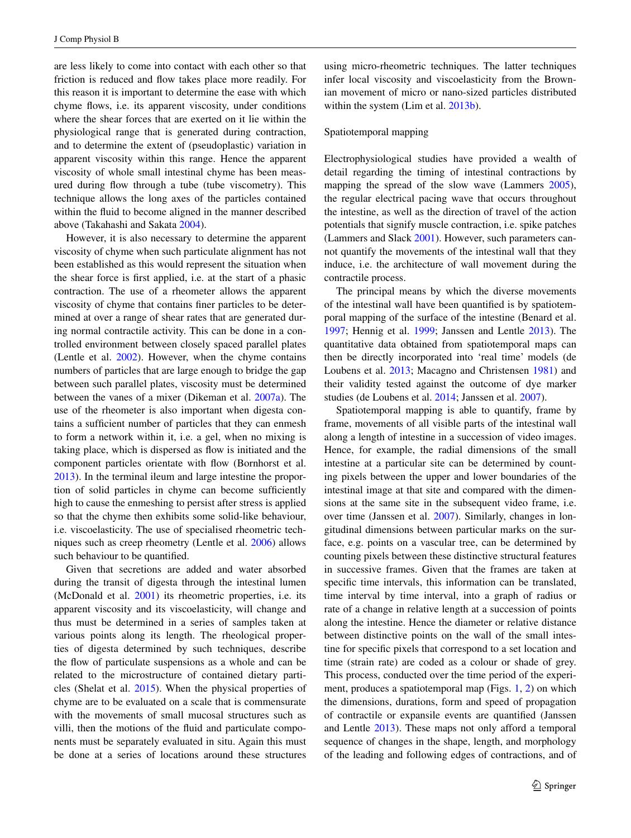are less likely to come into contact with each other so that friction is reduced and flow takes place more readily. For this reason it is important to determine the ease with which chyme flows, i.e. its apparent viscosity, under conditions where the shear forces that are exerted on it lie within the physiological range that is generated during contraction, and to determine the extent of (pseudoplastic) variation in apparent viscosity within this range. Hence the apparent viscosity of whole small intestinal chyme has been measured during flow through a tube (tube viscometry). This technique allows the long axes of the particles contained within the fluid to become aligned in the manner described above (Takahashi and Sakata [2004](#page-18-8)).

However, it is also necessary to determine the apparent viscosity of chyme when such particulate alignment has not been established as this would represent the situation when the shear force is first applied, i.e. at the start of a phasic contraction. The use of a rheometer allows the apparent viscosity of chyme that contains finer particles to be determined at over a range of shear rates that are generated during normal contractile activity. This can be done in a controlled environment between closely spaced parallel plates (Lentle et al. [2002\)](#page-17-6). However, when the chyme contains numbers of particles that are large enough to bridge the gap between such parallel plates, viscosity must be determined between the vanes of a mixer (Dikeman et al. [2007a\)](#page-16-8). The use of the rheometer is also important when digesta contains a sufficient number of particles that they can enmesh to form a network within it, i.e. a gel, when no mixing is taking place, which is dispersed as flow is initiated and the component particles orientate with flow (Bornhorst et al. [2013](#page-15-4)). In the terminal ileum and large intestine the proportion of solid particles in chyme can become sufficiently high to cause the enmeshing to persist after stress is applied so that the chyme then exhibits some solid-like behaviour, i.e. viscoelasticity. The use of specialised rheometric techniques such as creep rheometry (Lentle et al. [2006\)](#page-17-7) allows such behaviour to be quantified.

Given that secretions are added and water absorbed during the transit of digesta through the intestinal lumen (McDonald et al. [2001](#page-17-8)) its rheometric properties, i.e. its apparent viscosity and its viscoelasticity, will change and thus must be determined in a series of samples taken at various points along its length. The rheological properties of digesta determined by such techniques, describe the flow of particulate suspensions as a whole and can be related to the microstructure of contained dietary particles (Shelat et al. [2015\)](#page-18-2). When the physical properties of chyme are to be evaluated on a scale that is commensurate with the movements of small mucosal structures such as villi, then the motions of the fluid and particulate components must be separately evaluated in situ. Again this must be done at a series of locations around these structures using micro-rheometric techniques. The latter techniques infer local viscosity and viscoelasticity from the Brownian movement of micro or nano-sized particles distributed within the system (Lim et al. [2013b\)](#page-17-9).

#### Spatiotemporal mapping

Electrophysiological studies have provided a wealth of detail regarding the timing of intestinal contractions by mapping the spread of the slow wave (Lammers [2005](#page-17-10)), the regular electrical pacing wave that occurs throughout the intestine, as well as the direction of travel of the action potentials that signify muscle contraction, i.e. spike patches (Lammers and Slack [2001](#page-17-11)). However, such parameters cannot quantify the movements of the intestinal wall that they induce, i.e. the architecture of wall movement during the contractile process.

The principal means by which the diverse movements of the intestinal wall have been quantified is by spatiotemporal mapping of the surface of the intestine (Benard et al. [1997](#page-15-5); Hennig et al. [1999;](#page-16-9) Janssen and Lentle [2013](#page-16-4)). The quantitative data obtained from spatiotemporal maps can then be directly incorporated into 'real time' models (de Loubens et al. [2013;](#page-15-1) Macagno and Christensen [1981](#page-17-12)) and their validity tested against the outcome of dye marker studies (de Loubens et al. [2014;](#page-16-10) Janssen et al. [2007\)](#page-16-6).

Spatiotemporal mapping is able to quantify, frame by frame, movements of all visible parts of the intestinal wall along a length of intestine in a succession of video images. Hence, for example, the radial dimensions of the small intestine at a particular site can be determined by counting pixels between the upper and lower boundaries of the intestinal image at that site and compared with the dimensions at the same site in the subsequent video frame, i.e. over time (Janssen et al. [2007](#page-16-6)). Similarly, changes in longitudinal dimensions between particular marks on the surface, e.g. points on a vascular tree, can be determined by counting pixels between these distinctive structural features in successive frames. Given that the frames are taken at specific time intervals, this information can be translated, time interval by time interval, into a graph of radius or rate of a change in relative length at a succession of points along the intestine. Hence the diameter or relative distance between distinctive points on the wall of the small intestine for specific pixels that correspond to a set location and time (strain rate) are coded as a colour or shade of grey. This process, conducted over the time period of the experiment, produces a spatiotemporal map (Figs. [1,](#page-5-0) [2\)](#page-6-0) on which the dimensions, durations, form and speed of propagation of contractile or expansile events are quantified (Janssen and Lentle [2013](#page-16-4)). These maps not only afford a temporal sequence of changes in the shape, length, and morphology of the leading and following edges of contractions, and of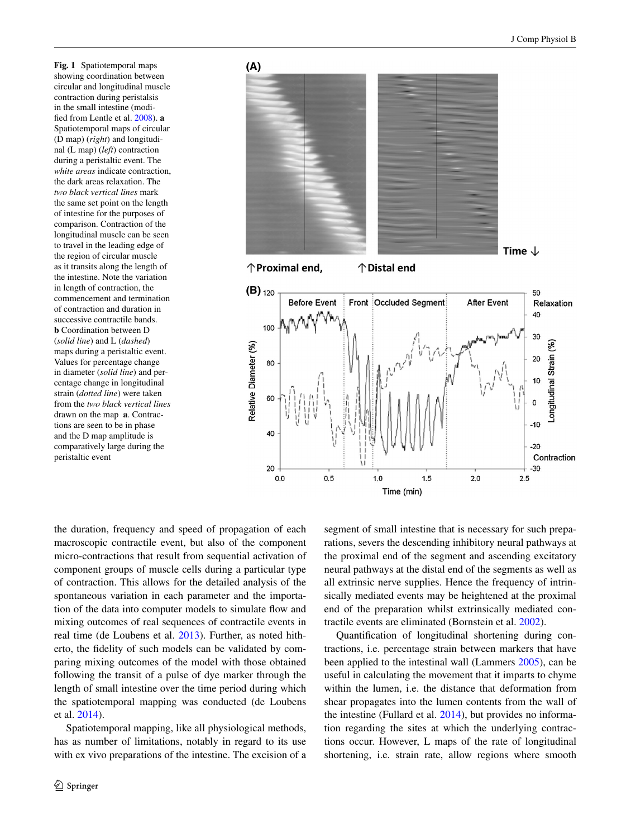<span id="page-5-0"></span>**Fig. 1** Spatiotemporal maps showing coordination between circular and longitudinal muscle contraction during peristalsis in the small intestine (modified from Lentle et al. [2008](#page-17-13)). **a** Spatiotemporal maps of circular (D map) (*right*) and longitudinal (L map) (*left*) contraction during a peristaltic event. The *white areas* indicate contraction, the dark areas relaxation. The *two black vertical lines* mark the same set point on the length of intestine for the purposes of comparison. Contraction of the longitudinal muscle can be seen to travel in the leading edge of the region of circular muscle as it transits along the length of the intestine. Note the variation in length of contraction, the commencement and termination of contraction and duration in successive contractile bands. **b** Coordination between D (*solid line*) and L (*dashed*) maps during a peristaltic event. Values for percentage change in diameter (*solid line*) and percentage change in longitudinal strain (*dotted line*) were taken from the *two black vertical lines* drawn on the map **a**. Contractions are seen to be in phase and the D map amplitude is comparatively large during the peristaltic event



the duration, frequency and speed of propagation of each macroscopic contractile event, but also of the component micro-contractions that result from sequential activation of component groups of muscle cells during a particular type of contraction. This allows for the detailed analysis of the spontaneous variation in each parameter and the importation of the data into computer models to simulate flow and mixing outcomes of real sequences of contractile events in real time (de Loubens et al. [2013\)](#page-15-1). Further, as noted hitherto, the fidelity of such models can be validated by comparing mixing outcomes of the model with those obtained following the transit of a pulse of dye marker through the length of small intestine over the time period during which the spatiotemporal mapping was conducted (de Loubens et al. [2014\)](#page-16-10).

Spatiotemporal mapping, like all physiological methods, has as number of limitations, notably in regard to its use with ex vivo preparations of the intestine. The excision of a segment of small intestine that is necessary for such preparations, severs the descending inhibitory neural pathways at the proximal end of the segment and ascending excitatory neural pathways at the distal end of the segments as well as all extrinsic nerve supplies. Hence the frequency of intrinsically mediated events may be heightened at the proximal end of the preparation whilst extrinsically mediated contractile events are eliminated (Bornstein et al. [2002](#page-15-6)).

Quantification of longitudinal shortening during contractions, i.e. percentage strain between markers that have been applied to the intestinal wall (Lammers [2005](#page-17-10)), can be useful in calculating the movement that it imparts to chyme within the lumen, i.e. the distance that deformation from shear propagates into the lumen contents from the wall of the intestine (Fullard et al. [2014](#page-16-5)), but provides no information regarding the sites at which the underlying contractions occur. However, L maps of the rate of longitudinal shortening, i.e. strain rate, allow regions where smooth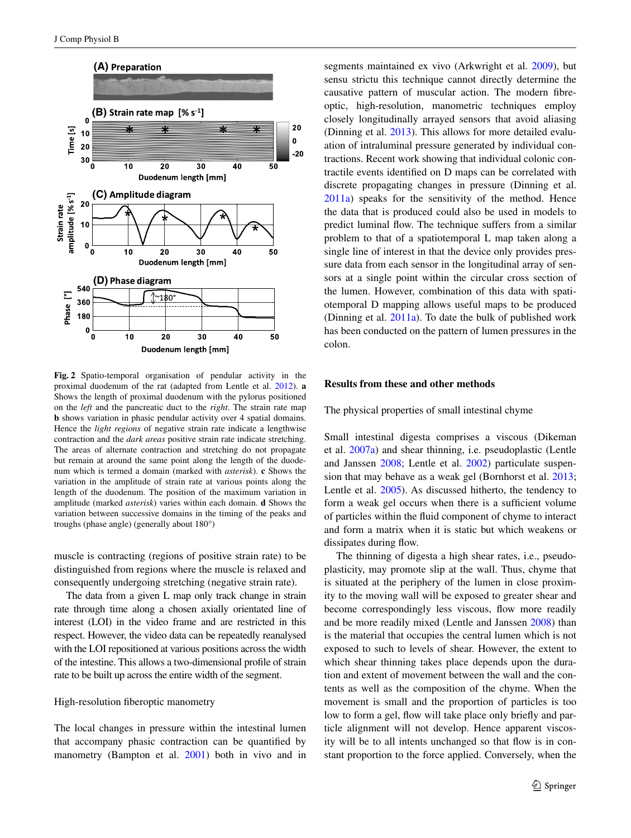

<span id="page-6-0"></span>**Fig. 2** Spatio-temporal organisation of pendular activity in the proximal duodenum of the rat (adapted from Lentle et al. [2012\)](#page-17-4). **a** Shows the length of proximal duodenum with the pylorus positioned on the *left* and the pancreatic duct to the *right*. The strain rate map **b** shows variation in phasic pendular activity over 4 spatial domains. Hence the *light regions* of negative strain rate indicate a lengthwise contraction and the *dark areas* positive strain rate indicate stretching. The areas of alternate contraction and stretching do not propagate but remain at around the same point along the length of the duodenum which is termed a domain (marked with *asterisk*). **c** Shows the variation in the amplitude of strain rate at various points along the length of the duodenum. The position of the maximum variation in amplitude (marked *asterisk*) varies within each domain. **d** Shows the variation between successive domains in the timing of the peaks and troughs (phase angle) (generally about 180°)

muscle is contracting (regions of positive strain rate) to be distinguished from regions where the muscle is relaxed and consequently undergoing stretching (negative strain rate).

The data from a given L map only track change in strain rate through time along a chosen axially orientated line of interest (LOI) in the video frame and are restricted in this respect. However, the video data can be repeatedly reanalysed with the LOI repositioned at various positions across the width of the intestine. This allows a two-dimensional profile of strain rate to be built up across the entire width of the segment.

## High-resolution fiberoptic manometry

The local changes in pressure within the intestinal lumen that accompany phasic contraction can be quantified by manometry (Bampton et al. [2001](#page-15-7)) both in vivo and in segments maintained ex vivo (Arkwright et al. [2009](#page-15-8)), but sensu strictu this technique cannot directly determine the causative pattern of muscular action. The modern fibreoptic, high-resolution, manometric techniques employ closely longitudinally arrayed sensors that avoid aliasing (Dinning et al. [2013](#page-16-11)). This allows for more detailed evaluation of intraluminal pressure generated by individual contractions. Recent work showing that individual colonic contractile events identified on D maps can be correlated with discrete propagating changes in pressure (Dinning et al. [2011a\)](#page-16-12) speaks for the sensitivity of the method. Hence the data that is produced could also be used in models to predict luminal flow. The technique suffers from a similar problem to that of a spatiotemporal L map taken along a single line of interest in that the device only provides pressure data from each sensor in the longitudinal array of sensors at a single point within the circular cross section of the lumen. However, combination of this data with spatiotemporal D mapping allows useful maps to be produced (Dinning et al. [2011a\)](#page-16-12). To date the bulk of published work has been conducted on the pattern of lumen pressures in the colon.

#### **Results from these and other methods**

The physical properties of small intestinal chyme

Small intestinal digesta comprises a viscous (Dikeman et al. [2007a](#page-16-8)) and shear thinning, i.e. pseudoplastic (Lentle and Janssen [2008](#page-17-14); Lentle et al. [2002](#page-17-6)) particulate suspension that may behave as a weak gel (Bornhorst et al. [2013](#page-15-4); Lentle et al. [2005](#page-17-15)). As discussed hitherto, the tendency to form a weak gel occurs when there is a sufficient volume of particles within the fluid component of chyme to interact and form a matrix when it is static but which weakens or dissipates during flow.

The thinning of digesta a high shear rates, i.e., pseudoplasticity, may promote slip at the wall. Thus, chyme that is situated at the periphery of the lumen in close proximity to the moving wall will be exposed to greater shear and become correspondingly less viscous, flow more readily and be more readily mixed (Lentle and Janssen [2008\)](#page-17-14) than is the material that occupies the central lumen which is not exposed to such to levels of shear. However, the extent to which shear thinning takes place depends upon the duration and extent of movement between the wall and the contents as well as the composition of the chyme. When the movement is small and the proportion of particles is too low to form a gel, flow will take place only briefly and particle alignment will not develop. Hence apparent viscosity will be to all intents unchanged so that flow is in constant proportion to the force applied. Conversely, when the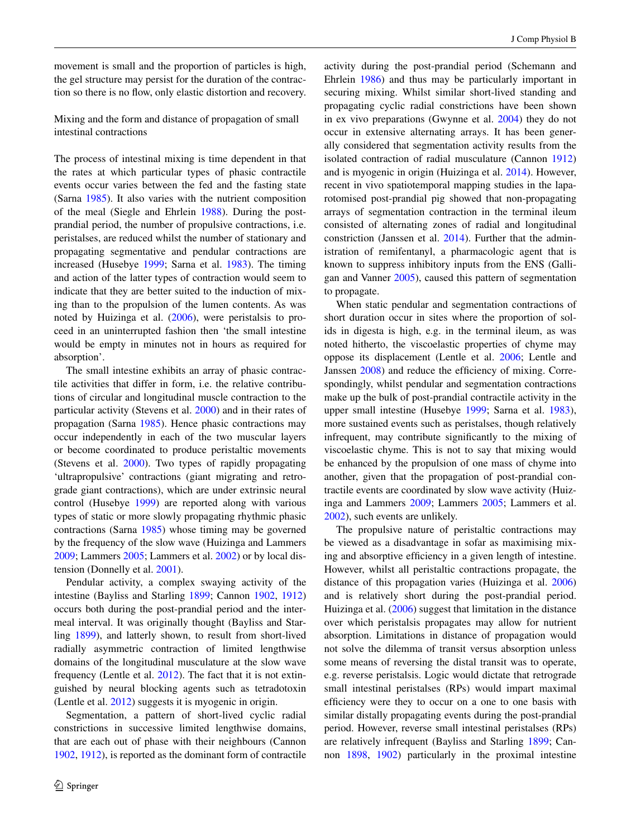movement is small and the proportion of particles is high, the gel structure may persist for the duration of the contraction so there is no flow, only elastic distortion and recovery.

Mixing and the form and distance of propagation of small intestinal contractions

The process of intestinal mixing is time dependent in that the rates at which particular types of phasic contractile events occur varies between the fed and the fasting state (Sarna [1985\)](#page-18-9). It also varies with the nutrient composition of the meal (Siegle and Ehrlein [1988\)](#page-18-10). During the postprandial period, the number of propulsive contractions, i.e. peristalses, are reduced whilst the number of stationary and propagating segmentative and pendular contractions are increased (Husebye [1999](#page-16-13); Sarna et al. [1983\)](#page-18-11). The timing and action of the latter types of contraction would seem to indicate that they are better suited to the induction of mixing than to the propulsion of the lumen contents. As was noted by Huizinga et al. ([2006\)](#page-16-14), were peristalsis to proceed in an uninterrupted fashion then 'the small intestine would be empty in minutes not in hours as required for absorption'.

The small intestine exhibits an array of phasic contractile activities that differ in form, i.e. the relative contributions of circular and longitudinal muscle contraction to the particular activity (Stevens et al. [2000](#page-18-12)) and in their rates of propagation (Sarna [1985\)](#page-18-9). Hence phasic contractions may occur independently in each of the two muscular layers or become coordinated to produce peristaltic movements (Stevens et al. [2000](#page-18-12)). Two types of rapidly propagating 'ultrapropulsive' contractions (giant migrating and retrograde giant contractions), which are under extrinsic neural control (Husebye [1999](#page-16-13)) are reported along with various types of static or more slowly propagating rhythmic phasic contractions (Sarna [1985](#page-18-9)) whose timing may be governed by the frequency of the slow wave (Huizinga and Lammers [2009](#page-16-15); Lammers [2005](#page-17-10); Lammers et al. [2002](#page-17-16)) or by local distension (Donnelly et al. [2001](#page-16-16)).

Pendular activity, a complex swaying activity of the intestine (Bayliss and Starling [1899](#page-15-9); Cannon [1902,](#page-15-10) [1912\)](#page-15-11) occurs both during the post-prandial period and the intermeal interval. It was originally thought (Bayliss and Starling [1899\)](#page-15-9), and latterly shown, to result from short-lived radially asymmetric contraction of limited lengthwise domains of the longitudinal musculature at the slow wave frequency (Lentle et al. [2012\)](#page-17-4). The fact that it is not extinguished by neural blocking agents such as tetradotoxin (Lentle et al. [2012](#page-17-4)) suggests it is myogenic in origin.

Segmentation, a pattern of short-lived cyclic radial constrictions in successive limited lengthwise domains, that are each out of phase with their neighbours (Cannon [1902](#page-15-10), [1912\)](#page-15-11), is reported as the dominant form of contractile activity during the post-prandial period (Schemann and Ehrlein [1986\)](#page-18-13) and thus may be particularly important in securing mixing. Whilst similar short-lived standing and propagating cyclic radial constrictions have been shown in ex vivo preparations (Gwynne et al. [2004\)](#page-16-17) they do not occur in extensive alternating arrays. It has been generally considered that segmentation activity results from the isolated contraction of radial musculature (Cannon [1912\)](#page-15-11) and is myogenic in origin (Huizinga et al. [2014\)](#page-16-3). However, recent in vivo spatiotemporal mapping studies in the laparotomised post-prandial pig showed that non-propagating arrays of segmentation contraction in the terminal ileum consisted of alternating zones of radial and longitudinal constriction (Janssen et al. [2014\)](#page-16-18). Further that the administration of remifentanyl, a pharmacologic agent that is known to suppress inhibitory inputs from the ENS (Galligan and Vanner [2005](#page-16-19)), caused this pattern of segmentation to propagate.

When static pendular and segmentation contractions of short duration occur in sites where the proportion of solids in digesta is high, e.g. in the terminal ileum, as was noted hitherto, the viscoelastic properties of chyme may oppose its displacement (Lentle et al. [2006;](#page-17-7) Lentle and Janssen [2008](#page-17-14)) and reduce the efficiency of mixing. Correspondingly, whilst pendular and segmentation contractions make up the bulk of post-prandial contractile activity in the upper small intestine (Husebye [1999](#page-16-13); Sarna et al. [1983](#page-18-11)), more sustained events such as peristalses, though relatively infrequent, may contribute significantly to the mixing of viscoelastic chyme. This is not to say that mixing would be enhanced by the propulsion of one mass of chyme into another, given that the propagation of post-prandial contractile events are coordinated by slow wave activity (Huizinga and Lammers [2009](#page-16-15); Lammers [2005](#page-17-10); Lammers et al. [2002](#page-17-16)), such events are unlikely.

The propulsive nature of peristaltic contractions may be viewed as a disadvantage in sofar as maximising mixing and absorptive efficiency in a given length of intestine. However, whilst all peristaltic contractions propagate, the distance of this propagation varies (Huizinga et al. [2006\)](#page-16-14) and is relatively short during the post-prandial period. Huizinga et al. [\(2006](#page-16-14)) suggest that limitation in the distance over which peristalsis propagates may allow for nutrient absorption. Limitations in distance of propagation would not solve the dilemma of transit versus absorption unless some means of reversing the distal transit was to operate, e.g. reverse peristalsis. Logic would dictate that retrograde small intestinal peristalses (RPs) would impart maximal efficiency were they to occur on a one to one basis with similar distally propagating events during the post-prandial period. However, reverse small intestinal peristalses (RPs) are relatively infrequent (Bayliss and Starling [1899](#page-15-9); Cannon [1898](#page-15-12), [1902](#page-15-10)) particularly in the proximal intestine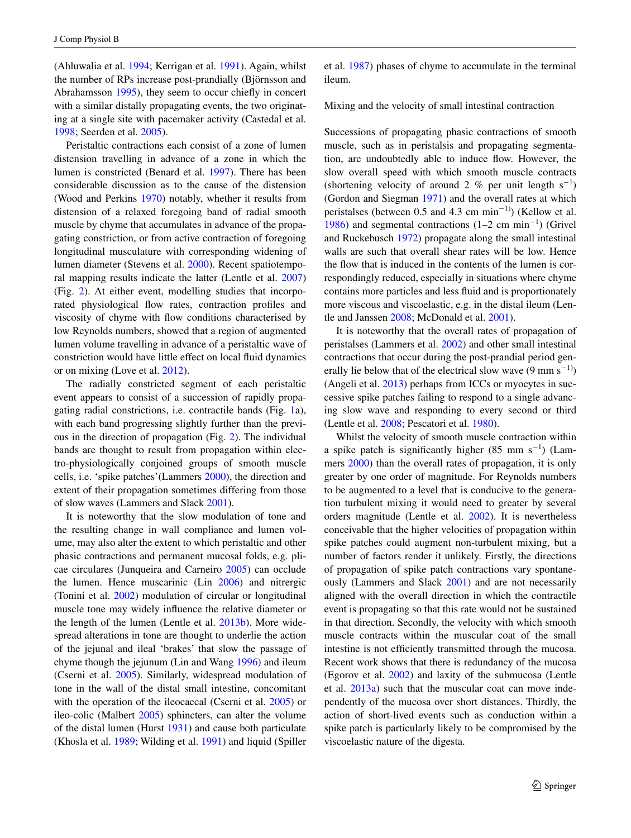(Ahluwalia et al. [1994](#page-15-13); Kerrigan et al. [1991](#page-17-17)). Again, whilst the number of RPs increase post-prandially (Björnsson and Abrahamsson [1995](#page-15-14)), they seem to occur chiefly in concert with a similar distally propagating events, the two originating at a single site with pacemaker activity (Castedal et al. [1998](#page-15-15); Seerden et al. [2005\)](#page-18-14).

Peristaltic contractions each consist of a zone of lumen distension travelling in advance of a zone in which the lumen is constricted (Benard et al. [1997](#page-15-5)). There has been considerable discussion as to the cause of the distension (Wood and Perkins [1970](#page-18-15)) notably, whether it results from distension of a relaxed foregoing band of radial smooth muscle by chyme that accumulates in advance of the propagating constriction, or from active contraction of foregoing longitudinal musculature with corresponding widening of lumen diameter (Stevens et al. [2000](#page-18-12)). Recent spatiotemporal mapping results indicate the latter (Lentle et al. [2007\)](#page-17-18) (Fig. [2\)](#page-6-0). At either event, modelling studies that incorporated physiological flow rates, contraction profiles and viscosity of chyme with flow conditions characterised by low Reynolds numbers, showed that a region of augmented lumen volume travelling in advance of a peristaltic wave of constriction would have little effect on local fluid dynamics or on mixing (Love et al. [2012](#page-17-19)).

The radially constricted segment of each peristaltic event appears to consist of a succession of rapidly propagating radial constrictions, i.e. contractile bands (Fig. [1a](#page-5-0)), with each band progressing slightly further than the previous in the direction of propagation (Fig. [2\)](#page-6-0). The individual bands are thought to result from propagation within electro-physiologically conjoined groups of smooth muscle cells, i.e. 'spike patches'(Lammers [2000](#page-17-20)), the direction and extent of their propagation sometimes differing from those of slow waves (Lammers and Slack [2001](#page-17-11)).

It is noteworthy that the slow modulation of tone and the resulting change in wall compliance and lumen volume, may also alter the extent to which peristaltic and other phasic contractions and permanent mucosal folds, e.g. plicae circulares (Junqueira and Carneiro [2005](#page-16-20)) can occlude the lumen. Hence muscarinic (Lin [2006](#page-17-21)) and nitrergic (Tonini et al. [2002](#page-18-16)) modulation of circular or longitudinal muscle tone may widely influence the relative diameter or the length of the lumen (Lentle et al. [2013b](#page-17-1)). More widespread alterations in tone are thought to underlie the action of the jejunal and ileal 'brakes' that slow the passage of chyme though the jejunum (Lin and Wang [1996](#page-17-22)) and ileum (Cserni et al. [2005](#page-15-16)). Similarly, widespread modulation of tone in the wall of the distal small intestine, concomitant with the operation of the ileocaecal (Cserni et al. [2005](#page-15-16)) or ileo-colic (Malbert [2005](#page-17-23)) sphincters, can alter the volume of the distal lumen (Hurst [1931\)](#page-16-21) and cause both particulate (Khosla et al. [1989;](#page-17-24) Wilding et al. [1991](#page-18-17)) and liquid (Spiller et al. [1987\)](#page-18-18) phases of chyme to accumulate in the terminal ileum.

Mixing and the velocity of small intestinal contraction

Successions of propagating phasic contractions of smooth muscle, such as in peristalsis and propagating segmentation, are undoubtedly able to induce flow. However, the slow overall speed with which smooth muscle contracts (shortening velocity of around 2 % per unit length  $s^{-1}$ ) (Gordon and Siegman [1971](#page-16-22)) and the overall rates at which peristalses (between 0.5 and 4.3 cm min<sup>-1)</sup>) (Kellow et al. [1986](#page-16-23)) and segmental contractions (1–2 cm min−<sup>1</sup> ) (Grivel and Ruckebusch [1972\)](#page-16-24) propagate along the small intestinal walls are such that overall shear rates will be low. Hence the flow that is induced in the contents of the lumen is correspondingly reduced, especially in situations where chyme contains more particles and less fluid and is proportionately more viscous and viscoelastic, e.g. in the distal ileum (Lentle and Janssen [2008;](#page-17-14) McDonald et al. [2001](#page-17-8)).

It is noteworthy that the overall rates of propagation of peristalses (Lammers et al. [2002\)](#page-17-16) and other small intestinal contractions that occur during the post-prandial period generally lie below that of the electrical slow wave  $(9 \text{ mm s}^{-1})$ (Angeli et al. [2013](#page-15-17)) perhaps from ICCs or myocytes in successive spike patches failing to respond to a single advancing slow wave and responding to every second or third (Lentle et al. [2008](#page-17-13); Pescatori et al. [1980\)](#page-18-19).

Whilst the velocity of smooth muscle contraction within a spike patch is significantly higher  $(85 \text{ mm s}^{-1})$  (Lammers [2000\)](#page-17-20) than the overall rates of propagation, it is only greater by one order of magnitude. For Reynolds numbers to be augmented to a level that is conducive to the generation turbulent mixing it would need to greater by several orders magnitude (Lentle et al. [2002\)](#page-17-6). It is nevertheless conceivable that the higher velocities of propagation within spike patches could augment non-turbulent mixing, but a number of factors render it unlikely. Firstly, the directions of propagation of spike patch contractions vary spontaneously (Lammers and Slack [2001](#page-17-11)) and are not necessarily aligned with the overall direction in which the contractile event is propagating so that this rate would not be sustained in that direction. Secondly, the velocity with which smooth muscle contracts within the muscular coat of the small intestine is not efficiently transmitted through the mucosa. Recent work shows that there is redundancy of the mucosa (Egorov et al. [2002](#page-16-25)) and laxity of the submucosa (Lentle et al. [2013a](#page-17-25)) such that the muscular coat can move independently of the mucosa over short distances. Thirdly, the action of short-lived events such as conduction within a spike patch is particularly likely to be compromised by the viscoelastic nature of the digesta.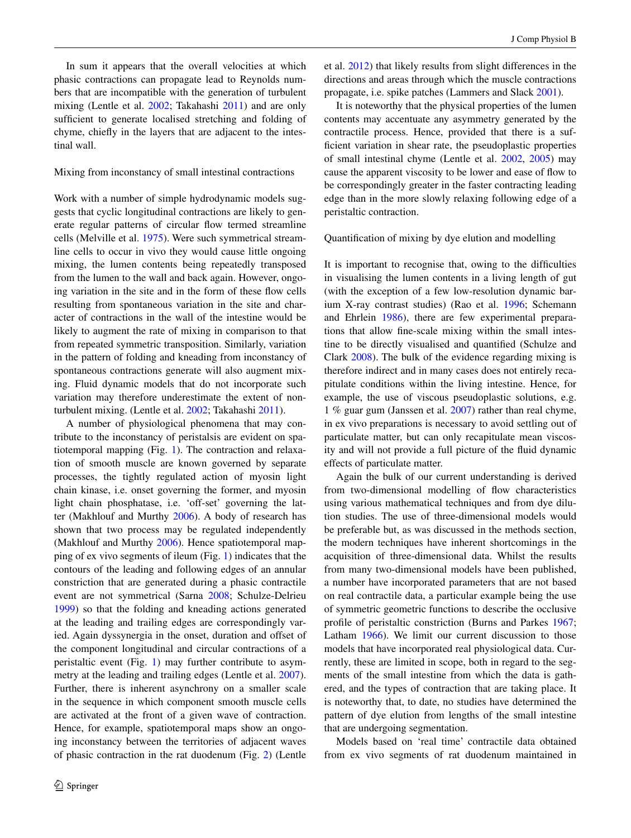In sum it appears that the overall velocities at which phasic contractions can propagate lead to Reynolds numbers that are incompatible with the generation of turbulent mixing (Lentle et al. [2002;](#page-17-6) Takahashi [2011](#page-18-0)) and are only sufficient to generate localised stretching and folding of chyme, chiefly in the layers that are adjacent to the intestinal wall.

# Mixing from inconstancy of small intestinal contractions

Work with a number of simple hydrodynamic models suggests that cyclic longitudinal contractions are likely to generate regular patterns of circular flow termed streamline cells (Melville et al. [1975](#page-17-0)). Were such symmetrical streamline cells to occur in vivo they would cause little ongoing mixing, the lumen contents being repeatedly transposed from the lumen to the wall and back again. However, ongoing variation in the site and in the form of these flow cells resulting from spontaneous variation in the site and character of contractions in the wall of the intestine would be likely to augment the rate of mixing in comparison to that from repeated symmetric transposition. Similarly, variation in the pattern of folding and kneading from inconstancy of spontaneous contractions generate will also augment mixing. Fluid dynamic models that do not incorporate such variation may therefore underestimate the extent of nonturbulent mixing. (Lentle et al. [2002](#page-17-6); Takahashi [2011](#page-18-0)).

A number of physiological phenomena that may contribute to the inconstancy of peristalsis are evident on spatiotemporal mapping (Fig. [1\)](#page-5-0). The contraction and relaxation of smooth muscle are known governed by separate processes, the tightly regulated action of myosin light chain kinase, i.e. onset governing the former, and myosin light chain phosphatase, i.e. 'off-set' governing the latter (Makhlouf and Murthy [2006](#page-17-26)). A body of research has shown that two process may be regulated independently (Makhlouf and Murthy [2006\)](#page-17-26). Hence spatiotemporal mapping of ex vivo segments of ileum (Fig. [1\)](#page-5-0) indicates that the contours of the leading and following edges of an annular constriction that are generated during a phasic contractile event are not symmetrical (Sarna [2008;](#page-18-1) Schulze-Delrieu [1999](#page-18-20)) so that the folding and kneading actions generated at the leading and trailing edges are correspondingly varied. Again dyssynergia in the onset, duration and offset of the component longitudinal and circular contractions of a peristaltic event (Fig. [1](#page-5-0)) may further contribute to asymmetry at the leading and trailing edges (Lentle et al. [2007](#page-17-18)). Further, there is inherent asynchrony on a smaller scale in the sequence in which component smooth muscle cells are activated at the front of a given wave of contraction. Hence, for example, spatiotemporal maps show an ongoing inconstancy between the territories of adjacent waves of phasic contraction in the rat duodenum (Fig. [2\)](#page-6-0) (Lentle et al. [2012\)](#page-17-4) that likely results from slight differences in the directions and areas through which the muscle contractions propagate, i.e. spike patches (Lammers and Slack [2001](#page-17-11)).

It is noteworthy that the physical properties of the lumen contents may accentuate any asymmetry generated by the contractile process. Hence, provided that there is a sufficient variation in shear rate, the pseudoplastic properties of small intestinal chyme (Lentle et al. [2002](#page-17-6), [2005\)](#page-17-15) may cause the apparent viscosity to be lower and ease of flow to be correspondingly greater in the faster contracting leading edge than in the more slowly relaxing following edge of a peristaltic contraction.

Quantification of mixing by dye elution and modelling

It is important to recognise that, owing to the difficulties in visualising the lumen contents in a living length of gut (with the exception of a few low-resolution dynamic barium X-ray contrast studies) (Rao et al. [1996](#page-18-21); Schemann and Ehrlein [1986](#page-18-13)), there are few experimental preparations that allow fine-scale mixing within the small intestine to be directly visualised and quantified (Schulze and Clark [2008](#page-18-22)). The bulk of the evidence regarding mixing is therefore indirect and in many cases does not entirely recapitulate conditions within the living intestine. Hence, for example, the use of viscous pseudoplastic solutions, e.g. 1 % guar gum (Janssen et al. [2007](#page-16-6)) rather than real chyme, in ex vivo preparations is necessary to avoid settling out of particulate matter, but can only recapitulate mean viscosity and will not provide a full picture of the fluid dynamic effects of particulate matter.

Again the bulk of our current understanding is derived from two-dimensional modelling of flow characteristics using various mathematical techniques and from dye dilution studies. The use of three-dimensional models would be preferable but, as was discussed in the methods section, the modern techniques have inherent shortcomings in the acquisition of three-dimensional data. Whilst the results from many two-dimensional models have been published, a number have incorporated parameters that are not based on real contractile data, a particular example being the use of symmetric geometric functions to describe the occlusive profile of peristaltic constriction (Burns and Parkes [1967](#page-15-18); Latham [1966](#page-17-3)). We limit our current discussion to those models that have incorporated real physiological data. Currently, these are limited in scope, both in regard to the segments of the small intestine from which the data is gathered, and the types of contraction that are taking place. It is noteworthy that, to date, no studies have determined the pattern of dye elution from lengths of the small intestine that are undergoing segmentation.

Models based on 'real time' contractile data obtained from ex vivo segments of rat duodenum maintained in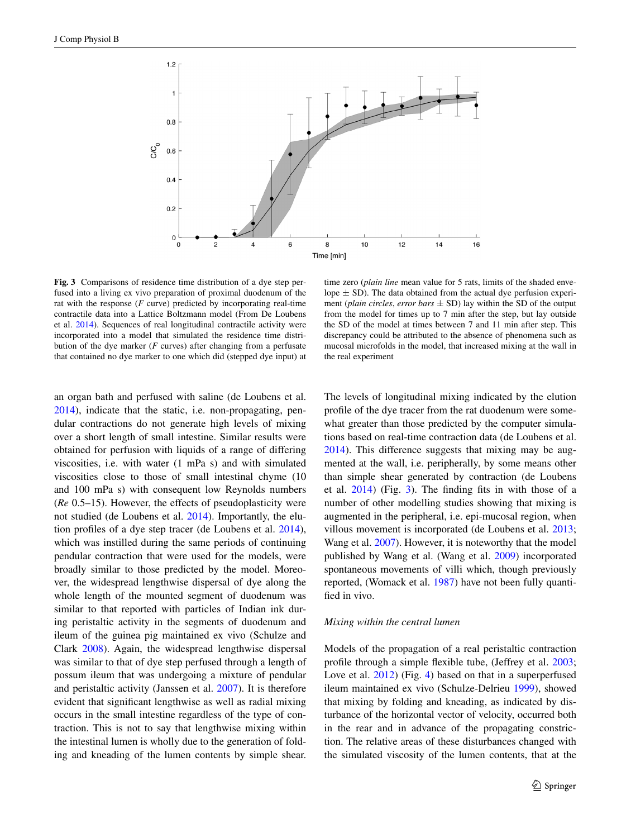

<span id="page-10-0"></span>**Fig. 3** Comparisons of residence time distribution of a dye step perfused into a living ex vivo preparation of proximal duodenum of the rat with the response (*F* curve) predicted by incorporating real-time contractile data into a Lattice Boltzmann model (From De Loubens et al. [2014](#page-16-10)). Sequences of real longitudinal contractile activity were incorporated into a model that simulated the residence time distribution of the dye marker (*F* curves) after changing from a perfusate that contained no dye marker to one which did (stepped dye input) at

an organ bath and perfused with saline (de Loubens et al. [2014](#page-16-10)), indicate that the static, i.e. non-propagating, pendular contractions do not generate high levels of mixing over a short length of small intestine. Similar results were obtained for perfusion with liquids of a range of differing viscosities, i.e. with water (1 mPa s) and with simulated viscosities close to those of small intestinal chyme (10 and 100 mPa s) with consequent low Reynolds numbers (*Re* 0.5–15). However, the effects of pseudoplasticity were not studied (de Loubens et al. [2014\)](#page-16-10). Importantly, the elution profiles of a dye step tracer (de Loubens et al. [2014](#page-16-10)), which was instilled during the same periods of continuing pendular contraction that were used for the models, were broadly similar to those predicted by the model. Moreover, the widespread lengthwise dispersal of dye along the whole length of the mounted segment of duodenum was similar to that reported with particles of Indian ink during peristaltic activity in the segments of duodenum and ileum of the guinea pig maintained ex vivo (Schulze and Clark [2008\)](#page-18-22). Again, the widespread lengthwise dispersal was similar to that of dye step perfused through a length of possum ileum that was undergoing a mixture of pendular and peristaltic activity (Janssen et al. [2007\)](#page-16-6). It is therefore evident that significant lengthwise as well as radial mixing occurs in the small intestine regardless of the type of contraction. This is not to say that lengthwise mixing within the intestinal lumen is wholly due to the generation of folding and kneading of the lumen contents by simple shear.

time zero (*plain line* mean value for 5 rats, limits of the shaded envelope  $\pm$  SD). The data obtained from the actual dye perfusion experiment (*plain circles, error bars*  $\pm$  SD) lay within the SD of the output from the model for times up to 7 min after the step, but lay outside the SD of the model at times between 7 and 11 min after step. This discrepancy could be attributed to the absence of phenomena such as mucosal microfolds in the model, that increased mixing at the wall in the real experiment

The levels of longitudinal mixing indicated by the elution profile of the dye tracer from the rat duodenum were somewhat greater than those predicted by the computer simulations based on real-time contraction data (de Loubens et al. [2014](#page-16-10)). This difference suggests that mixing may be augmented at the wall, i.e. peripherally, by some means other than simple shear generated by contraction (de Loubens et al. [2014\)](#page-16-10) (Fig. [3](#page-10-0)). The finding fits in with those of a number of other modelling studies showing that mixing is augmented in the peripheral, i.e. epi-mucosal region, when villous movement is incorporated (de Loubens et al. [2013](#page-15-1); Wang et al. [2007\)](#page-18-23). However, it is noteworthy that the model published by Wang et al. (Wang et al. [2009\)](#page-18-3) incorporated spontaneous movements of villi which, though previously reported, (Womack et al. [1987](#page-18-24)) have not been fully quantified in vivo.

## *Mixing within the central lumen*

Models of the propagation of a real peristaltic contraction profile through a simple flexible tube, (Jeffrey et al. [2003](#page-16-26); Love et al. [2012\)](#page-17-19) (Fig. [4](#page-11-0)) based on that in a superperfused ileum maintained ex vivo (Schulze-Delrieu [1999\)](#page-18-20), showed that mixing by folding and kneading, as indicated by disturbance of the horizontal vector of velocity, occurred both in the rear and in advance of the propagating constriction. The relative areas of these disturbances changed with the simulated viscosity of the lumen contents, that at the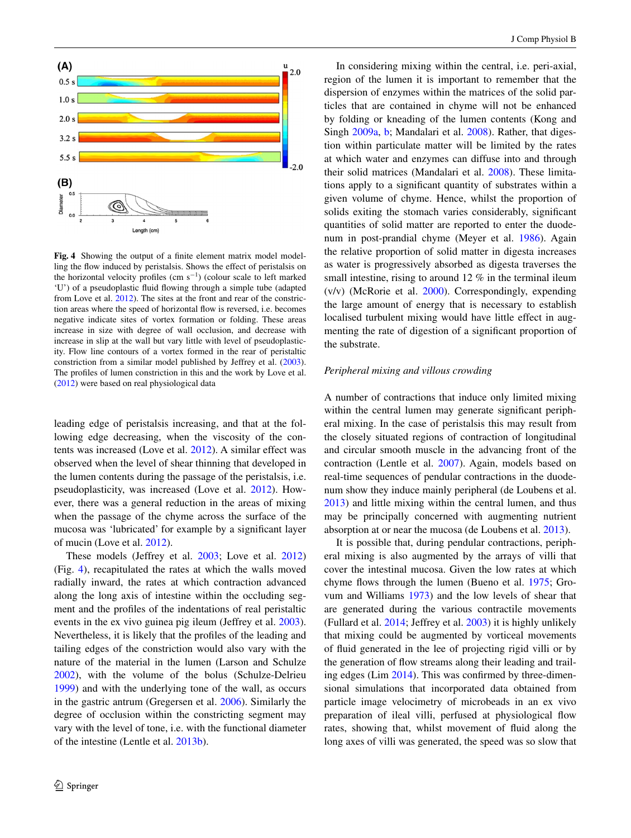

<span id="page-11-0"></span>**Fig. 4** Showing the output of a finite element matrix model modelling the flow induced by peristalsis. Shows the effect of peristalsis on the horizontal velocity profiles  $(cm s<sup>-1</sup>)$  (colour scale to left marked 'U') of a pseudoplastic fluid flowing through a simple tube (adapted from Love et al. [2012\)](#page-17-19). The sites at the front and rear of the constriction areas where the speed of horizontal flow is reversed, i.e. becomes negative indicate sites of vortex formation or folding. These areas increase in size with degree of wall occlusion, and decrease with increase in slip at the wall but vary little with level of pseudoplasticity. Flow line contours of a vortex formed in the rear of peristaltic constriction from a similar model published by Jeffrey et al. [\(2003](#page-16-26)). The profiles of lumen constriction in this and the work by Love et al. ([2012\)](#page-17-19) were based on real physiological data

leading edge of peristalsis increasing, and that at the following edge decreasing, when the viscosity of the contents was increased (Love et al. [2012](#page-17-19)). A similar effect was observed when the level of shear thinning that developed in the lumen contents during the passage of the peristalsis, i.e. pseudoplasticity, was increased (Love et al. [2012\)](#page-17-19). However, there was a general reduction in the areas of mixing when the passage of the chyme across the surface of the mucosa was 'lubricated' for example by a significant layer of mucin (Love et al. [2012](#page-17-19)).

These models (Jeffrey et al. [2003;](#page-16-26) Love et al. [2012\)](#page-17-19) (Fig. [4\)](#page-11-0), recapitulated the rates at which the walls moved radially inward, the rates at which contraction advanced along the long axis of intestine within the occluding segment and the profiles of the indentations of real peristaltic events in the ex vivo guinea pig ileum (Jeffrey et al. [2003](#page-16-26)). Nevertheless, it is likely that the profiles of the leading and tailing edges of the constriction would also vary with the nature of the material in the lumen (Larson and Schulze [2002](#page-17-27)), with the volume of the bolus (Schulze-Delrieu [1999](#page-18-20)) and with the underlying tone of the wall, as occurs in the gastric antrum (Gregersen et al. [2006\)](#page-16-27). Similarly the degree of occlusion within the constricting segment may vary with the level of tone, i.e. with the functional diameter of the intestine (Lentle et al. [2013b](#page-17-1)).

In considering mixing within the central, i.e. peri-axial, region of the lumen it is important to remember that the dispersion of enzymes within the matrices of the solid particles that are contained in chyme will not be enhanced by folding or kneading of the lumen contents (Kong and Singh [2009a](#page-17-28), [b;](#page-17-29) Mandalari et al. [2008\)](#page-17-30). Rather, that digestion within particulate matter will be limited by the rates at which water and enzymes can diffuse into and through their solid matrices (Mandalari et al. [2008\)](#page-17-30). These limitations apply to a significant quantity of substrates within a given volume of chyme. Hence, whilst the proportion of solids exiting the stomach varies considerably, significant quantities of solid matter are reported to enter the duodenum in post-prandial chyme (Meyer et al. [1986\)](#page-17-31). Again the relative proportion of solid matter in digesta increases as water is progressively absorbed as digesta traverses the small intestine, rising to around 12 % in the terminal ileum (v/v) (McRorie et al. [2000](#page-17-32)). Correspondingly, expending the large amount of energy that is necessary to establish localised turbulent mixing would have little effect in augmenting the rate of digestion of a significant proportion of the substrate.

#### *Peripheral mixing and villous crowding*

A number of contractions that induce only limited mixing within the central lumen may generate significant peripheral mixing. In the case of peristalsis this may result from the closely situated regions of contraction of longitudinal and circular smooth muscle in the advancing front of the contraction (Lentle et al. [2007\)](#page-17-18). Again, models based on real-time sequences of pendular contractions in the duodenum show they induce mainly peripheral (de Loubens et al. [2013](#page-15-1)) and little mixing within the central lumen, and thus may be principally concerned with augmenting nutrient absorption at or near the mucosa (de Loubens et al. [2013](#page-15-1)).

It is possible that, during pendular contractions, peripheral mixing is also augmented by the arrays of villi that cover the intestinal mucosa. Given the low rates at which chyme flows through the lumen (Bueno et al. [1975;](#page-15-19) Grovum and Williams [1973\)](#page-16-28) and the low levels of shear that are generated during the various contractile movements (Fullard et al. [2014;](#page-16-5) Jeffrey et al. [2003](#page-16-26)) it is highly unlikely that mixing could be augmented by vorticeal movements of fluid generated in the lee of projecting rigid villi or by the generation of flow streams along their leading and trailing edges (Lim [2014\)](#page-17-33). This was confirmed by three-dimensional simulations that incorporated data obtained from particle image velocimetry of microbeads in an ex vivo preparation of ileal villi, perfused at physiological flow rates, showing that, whilst movement of fluid along the long axes of villi was generated, the speed was so slow that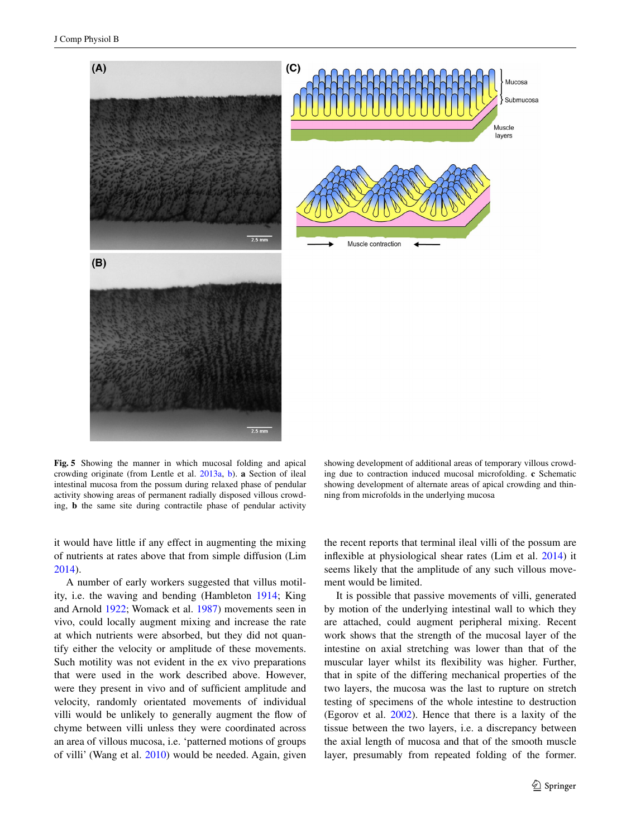

<span id="page-12-0"></span>**Fig. 5** Showing the manner in which mucosal folding and apical crowding originate (from Lentle et al. [2013a,](#page-17-25) [b](#page-17-1)). **a** Section of ileal intestinal mucosa from the possum during relaxed phase of pendular activity showing areas of permanent radially disposed villous crowding, **b** the same site during contractile phase of pendular activity

 $2.5 \text{ mm}$ 

ing due to contraction induced mucosal microfolding. **c** Schematic showing development of alternate areas of apical crowding and thinning from microfolds in the underlying mucosa

showing development of additional areas of temporary villous crowd-

it would have little if any effect in augmenting the mixing of nutrients at rates above that from simple diffusion (Lim [2014](#page-17-33)).

A number of early workers suggested that villus motility, i.e. the waving and bending (Hambleton [1914;](#page-16-29) King and Arnold [1922](#page-17-34); Womack et al. [1987\)](#page-18-24) movements seen in vivo, could locally augment mixing and increase the rate at which nutrients were absorbed, but they did not quantify either the velocity or amplitude of these movements. Such motility was not evident in the ex vivo preparations that were used in the work described above. However, were they present in vivo and of sufficient amplitude and velocity, randomly orientated movements of individual villi would be unlikely to generally augment the flow of chyme between villi unless they were coordinated across an area of villous mucosa, i.e. 'patterned motions of groups of villi' (Wang et al. [2010\)](#page-18-4) would be needed. Again, given the recent reports that terminal ileal villi of the possum are inflexible at physiological shear rates (Lim et al. [2014\)](#page-17-35) it seems likely that the amplitude of any such villous movement would be limited.

It is possible that passive movements of villi, generated by motion of the underlying intestinal wall to which they are attached, could augment peripheral mixing. Recent work shows that the strength of the mucosal layer of the intestine on axial stretching was lower than that of the muscular layer whilst its flexibility was higher. Further, that in spite of the differing mechanical properties of the two layers, the mucosa was the last to rupture on stretch testing of specimens of the whole intestine to destruction (Egorov et al. [2002\)](#page-16-25). Hence that there is a laxity of the tissue between the two layers, i.e. a discrepancy between the axial length of mucosa and that of the smooth muscle layer, presumably from repeated folding of the former.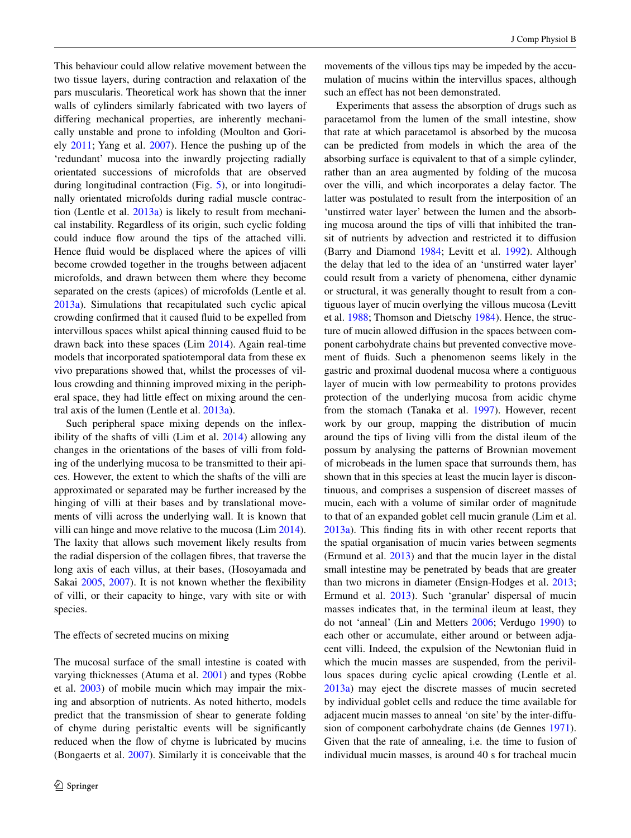This behaviour could allow relative movement between the two tissue layers, during contraction and relaxation of the pars muscularis. Theoretical work has shown that the inner walls of cylinders similarly fabricated with two layers of differing mechanical properties, are inherently mechanically unstable and prone to infolding (Moulton and Goriely [2011;](#page-17-36) Yang et al. [2007](#page-18-25)). Hence the pushing up of the 'redundant' mucosa into the inwardly projecting radially orientated successions of microfolds that are observed during longitudinal contraction (Fig. [5](#page-12-0)), or into longitudinally orientated microfolds during radial muscle contraction (Lentle et al. [2013a](#page-17-25)) is likely to result from mechanical instability. Regardless of its origin, such cyclic folding could induce flow around the tips of the attached villi. Hence fluid would be displaced where the apices of villi become crowded together in the troughs between adjacent microfolds, and drawn between them where they become separated on the crests (apices) of microfolds (Lentle et al. [2013a](#page-17-25)). Simulations that recapitulated such cyclic apical crowding confirmed that it caused fluid to be expelled from intervillous spaces whilst apical thinning caused fluid to be drawn back into these spaces (Lim [2014\)](#page-17-33). Again real-time models that incorporated spatiotemporal data from these ex vivo preparations showed that, whilst the processes of villous crowding and thinning improved mixing in the peripheral space, they had little effect on mixing around the central axis of the lumen (Lentle et al. [2013a](#page-17-25)).

Such peripheral space mixing depends on the inflexibility of the shafts of villi (Lim et al. [2014](#page-17-35)) allowing any changes in the orientations of the bases of villi from folding of the underlying mucosa to be transmitted to their apices. However, the extent to which the shafts of the villi are approximated or separated may be further increased by the hinging of villi at their bases and by translational movements of villi across the underlying wall. It is known that villi can hinge and move relative to the mucosa (Lim [2014](#page-17-33)). The laxity that allows such movement likely results from the radial dispersion of the collagen fibres, that traverse the long axis of each villus, at their bases, (Hosoyamada and Sakai [2005,](#page-16-30) [2007\)](#page-16-31). It is not known whether the flexibility of villi, or their capacity to hinge, vary with site or with species.

#### The effects of secreted mucins on mixing

The mucosal surface of the small intestine is coated with varying thicknesses (Atuma et al. [2001\)](#page-15-20) and types (Robbe et al. [2003\)](#page-18-26) of mobile mucin which may impair the mixing and absorption of nutrients. As noted hitherto, models predict that the transmission of shear to generate folding of chyme during peristaltic events will be significantly reduced when the flow of chyme is lubricated by mucins (Bongaerts et al. [2007\)](#page-15-21). Similarly it is conceivable that the

movements of the villous tips may be impeded by the accumulation of mucins within the intervillus spaces, although such an effect has not been demonstrated.

Experiments that assess the absorption of drugs such as paracetamol from the lumen of the small intestine, show that rate at which paracetamol is absorbed by the mucosa can be predicted from models in which the area of the absorbing surface is equivalent to that of a simple cylinder, rather than an area augmented by folding of the mucosa over the villi, and which incorporates a delay factor. The latter was postulated to result from the interposition of an 'unstirred water layer' between the lumen and the absorbing mucosa around the tips of villi that inhibited the transit of nutrients by advection and restricted it to diffusion (Barry and Diamond [1984;](#page-15-22) Levitt et al. [1992\)](#page-17-37). Although the delay that led to the idea of an 'unstirred water layer' could result from a variety of phenomena, either dynamic or structural, it was generally thought to result from a contiguous layer of mucin overlying the villous mucosa (Levitt et al. [1988;](#page-17-38) Thomson and Dietschy [1984](#page-18-27)). Hence, the structure of mucin allowed diffusion in the spaces between component carbohydrate chains but prevented convective movement of fluids. Such a phenomenon seems likely in the gastric and proximal duodenal mucosa where a contiguous layer of mucin with low permeability to protons provides protection of the underlying mucosa from acidic chyme from the stomach (Tanaka et al. [1997\)](#page-18-28). However, recent work by our group, mapping the distribution of mucin around the tips of living villi from the distal ileum of the possum by analysing the patterns of Brownian movement of microbeads in the lumen space that surrounds them, has shown that in this species at least the mucin layer is discontinuous, and comprises a suspension of discreet masses of mucin, each with a volume of similar order of magnitude to that of an expanded goblet cell mucin granule (Lim et al. [2013a\)](#page-17-39). This finding fits in with other recent reports that the spatial organisation of mucin varies between segments (Ermund et al. [2013\)](#page-16-32) and that the mucin layer in the distal small intestine may be penetrated by beads that are greater than two microns in diameter (Ensign-Hodges et al. [2013](#page-16-33); Ermund et al. [2013](#page-16-32)). Such 'granular' dispersal of mucin masses indicates that, in the terminal ileum at least, they do not 'anneal' (Lin and Metters [2006;](#page-17-40) Verdugo [1990](#page-18-29)) to each other or accumulate, either around or between adjacent villi. Indeed, the expulsion of the Newtonian fluid in which the mucin masses are suspended, from the perivillous spaces during cyclic apical crowding (Lentle et al. [2013a\)](#page-17-25) may eject the discrete masses of mucin secreted by individual goblet cells and reduce the time available for adjacent mucin masses to anneal 'on site' by the inter-diffusion of component carbohydrate chains (de Gennes [1971](#page-15-23)). Given that the rate of annealing, i.e. the time to fusion of individual mucin masses, is around 40 s for tracheal mucin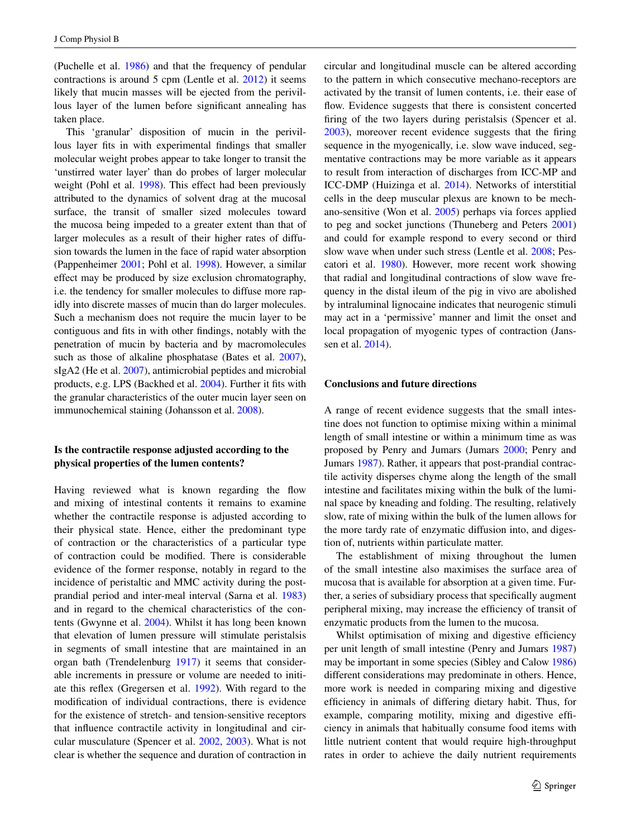(Puchelle et al. [1986](#page-18-30)) and that the frequency of pendular contractions is around 5 cpm (Lentle et al. [2012](#page-17-4)) it seems likely that mucin masses will be ejected from the perivillous layer of the lumen before significant annealing has taken place.

This 'granular' disposition of mucin in the perivillous layer fits in with experimental findings that smaller molecular weight probes appear to take longer to transit the 'unstirred water layer' than do probes of larger molecular weight (Pohl et al. [1998\)](#page-18-31). This effect had been previously attributed to the dynamics of solvent drag at the mucosal surface, the transit of smaller sized molecules toward the mucosa being impeded to a greater extent than that of larger molecules as a result of their higher rates of diffusion towards the lumen in the face of rapid water absorption (Pappenheimer [2001;](#page-17-41) Pohl et al. [1998](#page-18-31)). However, a similar effect may be produced by size exclusion chromatography, i.e. the tendency for smaller molecules to diffuse more rapidly into discrete masses of mucin than do larger molecules. Such a mechanism does not require the mucin layer to be contiguous and fits in with other findings, notably with the penetration of mucin by bacteria and by macromolecules such as those of alkaline phosphatase (Bates et al. [2007](#page-15-24)), sIgA2 (He et al. [2007](#page-16-34)), antimicrobial peptides and microbial products, e.g. LPS (Backhed et al. [2004\)](#page-15-25). Further it fits with the granular characteristics of the outer mucin layer seen on immunochemical staining (Johansson et al. [2008\)](#page-16-35).

# **Is the contractile response adjusted according to the physical properties of the lumen contents?**

Having reviewed what is known regarding the flow and mixing of intestinal contents it remains to examine whether the contractile response is adjusted according to their physical state. Hence, either the predominant type of contraction or the characteristics of a particular type of contraction could be modified. There is considerable evidence of the former response, notably in regard to the incidence of peristaltic and MMC activity during the postprandial period and inter-meal interval (Sarna et al. [1983\)](#page-18-11) and in regard to the chemical characteristics of the contents (Gwynne et al. [2004](#page-16-17)). Whilst it has long been known that elevation of lumen pressure will stimulate peristalsis in segments of small intestine that are maintained in an organ bath (Trendelenburg [1917\)](#page-18-32) it seems that considerable increments in pressure or volume are needed to initiate this reflex (Gregersen et al. [1992\)](#page-16-36). With regard to the modification of individual contractions, there is evidence for the existence of stretch- and tension-sensitive receptors that influence contractile activity in longitudinal and circular musculature (Spencer et al. [2002,](#page-18-33) [2003](#page-18-34)). What is not clear is whether the sequence and duration of contraction in circular and longitudinal muscle can be altered according to the pattern in which consecutive mechano-receptors are activated by the transit of lumen contents, i.e. their ease of flow. Evidence suggests that there is consistent concerted firing of the two layers during peristalsis (Spencer et al. [2003](#page-18-34)), moreover recent evidence suggests that the firing sequence in the myogenically, i.e. slow wave induced, segmentative contractions may be more variable as it appears to result from interaction of discharges from ICC-MP and ICC-DMP (Huizinga et al. [2014\)](#page-16-3). Networks of interstitial cells in the deep muscular plexus are known to be mechano-sensitive (Won et al. [2005\)](#page-18-35) perhaps via forces applied to peg and socket junctions (Thuneberg and Peters [2001\)](#page-18-36) and could for example respond to every second or third slow wave when under such stress (Lentle et al. [2008](#page-17-13); Pescatori et al. [1980](#page-18-19)). However, more recent work showing that radial and longitudinal contractions of slow wave frequency in the distal ileum of the pig in vivo are abolished by intraluminal lignocaine indicates that neurogenic stimuli may act in a 'permissive' manner and limit the onset and local propagation of myogenic types of contraction (Janssen et al. [2014\)](#page-16-18).

# **Conclusions and future directions**

A range of recent evidence suggests that the small intestine does not function to optimise mixing within a minimal length of small intestine or within a minimum time as was proposed by Penry and Jumars (Jumars [2000](#page-16-37); Penry and Jumars [1987](#page-18-7)). Rather, it appears that post-prandial contractile activity disperses chyme along the length of the small intestine and facilitates mixing within the bulk of the luminal space by kneading and folding. The resulting, relatively slow, rate of mixing within the bulk of the lumen allows for the more tardy rate of enzymatic diffusion into, and digestion of, nutrients within particulate matter.

The establishment of mixing throughout the lumen of the small intestine also maximises the surface area of mucosa that is available for absorption at a given time. Further, a series of subsidiary process that specifically augment peripheral mixing, may increase the efficiency of transit of enzymatic products from the lumen to the mucosa.

Whilst optimisation of mixing and digestive efficiency per unit length of small intestine (Penry and Jumars [1987\)](#page-18-7) may be important in some species (Sibley and Calow [1986\)](#page-18-37) different considerations may predominate in others. Hence, more work is needed in comparing mixing and digestive efficiency in animals of differing dietary habit. Thus, for example, comparing motility, mixing and digestive efficiency in animals that habitually consume food items with little nutrient content that would require high-throughput rates in order to achieve the daily nutrient requirements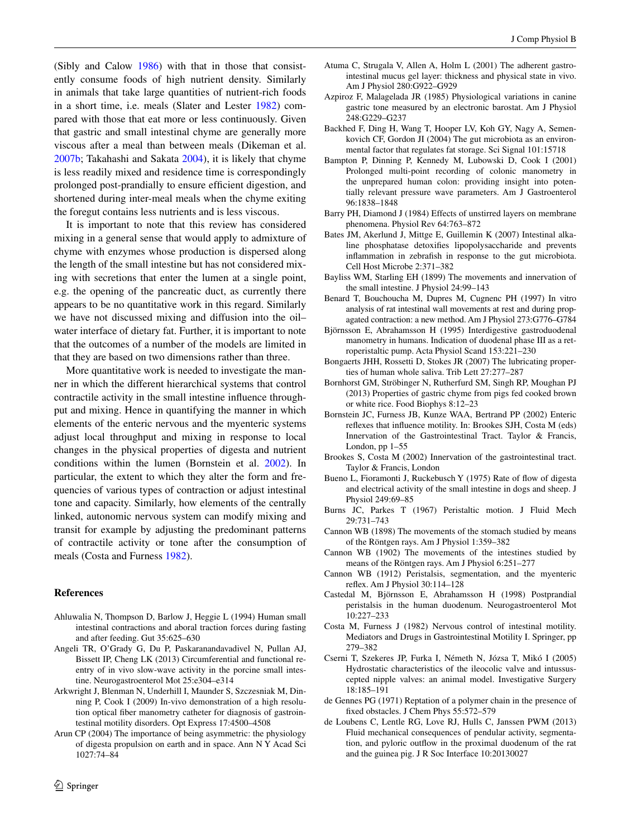(Sibly and Calow [1986\)](#page-18-37) with that in those that consistently consume foods of high nutrient density. Similarly in animals that take large quantities of nutrient-rich foods in a short time, i.e. meals (Slater and Lester [1982](#page-18-38)) compared with those that eat more or less continuously. Given that gastric and small intestinal chyme are generally more viscous after a meal than between meals (Dikeman et al. [2007b](#page-16-1); Takahashi and Sakata [2004\)](#page-18-8), it is likely that chyme is less readily mixed and residence time is correspondingly prolonged post-prandially to ensure efficient digestion, and shortened during inter-meal meals when the chyme exiting the foregut contains less nutrients and is less viscous.

It is important to note that this review has considered mixing in a general sense that would apply to admixture of chyme with enzymes whose production is dispersed along the length of the small intestine but has not considered mixing with secretions that enter the lumen at a single point, e.g. the opening of the pancreatic duct, as currently there appears to be no quantitative work in this regard. Similarly we have not discussed mixing and diffusion into the oil– water interface of dietary fat. Further, it is important to note that the outcomes of a number of the models are limited in that they are based on two dimensions rather than three.

More quantitative work is needed to investigate the manner in which the different hierarchical systems that control contractile activity in the small intestine influence throughput and mixing. Hence in quantifying the manner in which elements of the enteric nervous and the myenteric systems adjust local throughput and mixing in response to local changes in the physical properties of digesta and nutrient conditions within the lumen (Bornstein et al. [2002\)](#page-15-6). In particular, the extent to which they alter the form and frequencies of various types of contraction or adjust intestinal tone and capacity. Similarly, how elements of the centrally linked, autonomic nervous system can modify mixing and transit for example by adjusting the predominant patterns of contractile activity or tone after the consumption of meals (Costa and Furness [1982](#page-15-26)).

#### **References**

- <span id="page-15-13"></span>Ahluwalia N, Thompson D, Barlow J, Heggie L (1994) Human small intestinal contractions and aboral traction forces during fasting and after feeding. Gut 35:625–630
- <span id="page-15-17"></span>Angeli TR, O'Grady G, Du P, Paskaranandavadivel N, Pullan AJ, Bissett IP, Cheng LK (2013) Circumferential and functional reentry of in vivo slow-wave activity in the porcine small intestine. Neurogastroenterol Mot 25:e304–e314
- <span id="page-15-8"></span>Arkwright J, Blenman N, Underhill I, Maunder S, Szczesniak M, Dinning P, Cook I (2009) In-vivo demonstration of a high resolution optical fiber manometry catheter for diagnosis of gastrointestinal motility disorders. Opt Express 17:4500–4508
- <span id="page-15-2"></span>Arun CP (2004) The importance of being asymmetric: the physiology of digesta propulsion on earth and in space. Ann N Y Acad Sci 1027:74–84
- <span id="page-15-20"></span>Atuma C, Strugala V, Allen A, Holm L (2001) The adherent gastrointestinal mucus gel layer: thickness and physical state in vivo. Am J Physiol 280:G922–G929
- <span id="page-15-3"></span>Azpiroz F, Malagelada JR (1985) Physiological variations in canine gastric tone measured by an electronic barostat. Am J Physiol 248:G229–G237
- <span id="page-15-25"></span>Backhed F, Ding H, Wang T, Hooper LV, Koh GY, Nagy A, Semenkovich CF, Gordon JI (2004) The gut microbiota as an environmental factor that regulates fat storage. Sci Signal 101:15718
- <span id="page-15-7"></span>Bampton P, Dinning P, Kennedy M, Lubowski D, Cook I (2001) Prolonged multi-point recording of colonic manometry in the unprepared human colon: providing insight into potentially relevant pressure wave parameters. Am J Gastroenterol 96:1838–1848
- <span id="page-15-22"></span>Barry PH, Diamond J (1984) Effects of unstirred layers on membrane phenomena. Physiol Rev 64:763–872
- <span id="page-15-24"></span>Bates JM, Akerlund J, Mittge E, Guillemin K (2007) Intestinal alkaline phosphatase detoxifies lipopolysaccharide and prevents inflammation in zebrafish in response to the gut microbiota. Cell Host Microbe 2:371–382
- <span id="page-15-9"></span>Bayliss WM, Starling EH (1899) The movements and innervation of the small intestine. J Physiol 24:99–143
- <span id="page-15-5"></span>Benard T, Bouchoucha M, Dupres M, Cugnenc PH (1997) In vitro analysis of rat intestinal wall movements at rest and during propagated contraction: a new method. Am J Physiol 273:G776–G784
- <span id="page-15-14"></span>Björnsson E, Abrahamsson H (1995) Interdigestive gastroduodenal manometry in humans. Indication of duodenal phase III as a retroperistaltic pump. Acta Physiol Scand 153:221–230
- <span id="page-15-21"></span>Bongaerts JHH, Rossetti D, Stokes JR (2007) The lubricating properties of human whole saliva. Trib Lett 27:277–287
- <span id="page-15-4"></span>Bornhorst GM, Ströbinger N, Rutherfurd SM, Singh RP, Moughan PJ (2013) Properties of gastric chyme from pigs fed cooked brown or white rice. Food Biophys 8:12–23
- <span id="page-15-6"></span>Bornstein JC, Furness JB, Kunze WAA, Bertrand PP (2002) Enteric reflexes that influence motility. In: Brookes SJH, Costa M (eds) Innervation of the Gastrointestinal Tract. Taylor & Francis, London, pp 1–55
- <span id="page-15-0"></span>Brookes S, Costa M (2002) Innervation of the gastrointestinal tract. Taylor & Francis, London
- <span id="page-15-19"></span>Bueno L, Fioramonti J, Ruckebusch Y (1975) Rate of flow of digesta and electrical activity of the small intestine in dogs and sheep. J Physiol 249:69–85
- <span id="page-15-18"></span>Burns JC, Parkes T (1967) Peristaltic motion. J Fluid Mech 29:731–743
- <span id="page-15-12"></span>Cannon WB (1898) The movements of the stomach studied by means of the Röntgen rays. Am J Physiol 1:359–382
- <span id="page-15-10"></span>Cannon WB (1902) The movements of the intestines studied by means of the Röntgen rays. Am J Physiol 6:251–277
- <span id="page-15-11"></span>Cannon WB (1912) Peristalsis, segmentation, and the myenteric reflex. Am J Physiol 30:114–128
- <span id="page-15-15"></span>Castedal M, Björnsson E, Abrahamsson H (1998) Postprandial peristalsis in the human duodenum. Neurogastroenterol Mot 10:227–233
- <span id="page-15-26"></span>Costa M, Furness J (1982) Nervous control of intestinal motility. Mediators and Drugs in Gastrointestinal Motility I. Springer, pp 279–382
- <span id="page-15-16"></span>Cserni T, Szekeres JP, Furka I, Németh N, Józsa T, Mikó I (2005) Hydrostatic characteristics of the ileocolic valve and intussuscepted nipple valves: an animal model. Investigative Surgery 18:185–191
- <span id="page-15-23"></span>de Gennes PG (1971) Reptation of a polymer chain in the presence of fixed obstacles. J Chem Phys 55:572–579
- <span id="page-15-1"></span>de Loubens C, Lentle RG, Love RJ, Hulls C, Janssen PWM (2013) Fluid mechanical consequences of pendular activity, segmentation, and pyloric outflow in the proximal duodenum of the rat and the guinea pig. J R Soc Interface 10:20130027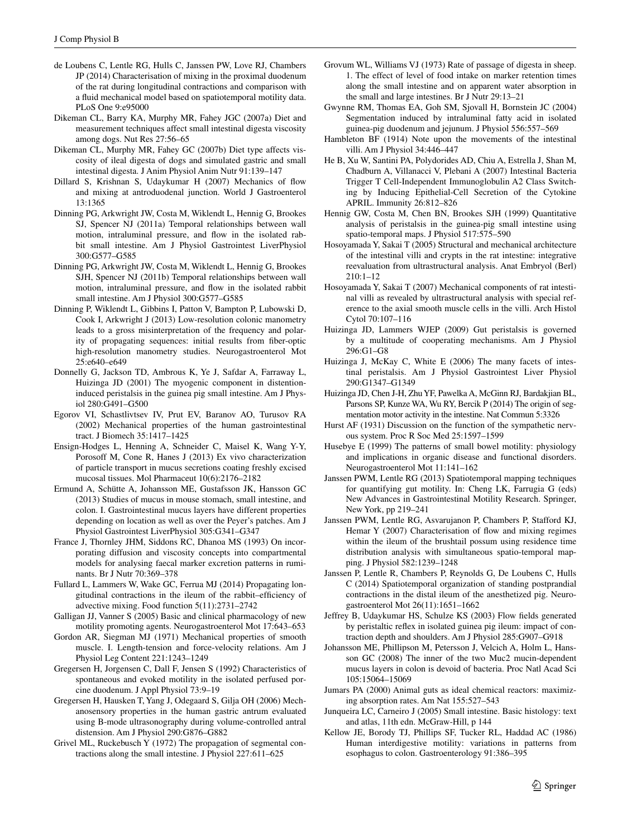- <span id="page-16-10"></span>de Loubens C, Lentle RG, Hulls C, Janssen PW, Love RJ, Chambers JP (2014) Characterisation of mixing in the proximal duodenum of the rat during longitudinal contractions and comparison with a fluid mechanical model based on spatiotemporal motility data. PLoS One 9:e95000
- <span id="page-16-8"></span>Dikeman CL, Barry KA, Murphy MR, Fahey JGC (2007a) Diet and measurement techniques affect small intestinal digesta viscosity among dogs. Nut Res 27:56–65
- <span id="page-16-1"></span>Dikeman CL, Murphy MR, Fahey GC (2007b) Diet type affects viscosity of ileal digesta of dogs and simulated gastric and small intestinal digesta. J Anim Physiol Anim Nutr 91:139–147
- <span id="page-16-7"></span>Dillard S, Krishnan S, Udaykumar H (2007) Mechanics of flow and mixing at antroduodenal junction. World J Gastroenterol 13:1365
- <span id="page-16-12"></span>Dinning PG, Arkwright JW, Costa M, Wiklendt L, Hennig G, Brookes SJ, Spencer NJ (2011a) Temporal relationships between wall motion, intraluminal pressure, and flow in the isolated rabbit small intestine. Am J Physiol Gastrointest LiverPhysiol 300:G577–G585
- <span id="page-16-2"></span>Dinning PG, Arkwright JW, Costa M, Wiklendt L, Hennig G, Brookes SJH, Spencer NJ (2011b) Temporal relationships between wall motion, intraluminal pressure, and flow in the isolated rabbit small intestine. Am J Physiol 300:G577–G585
- <span id="page-16-11"></span>Dinning P, Wiklendt L, Gibbins I, Patton V, Bampton P, Lubowski D, Cook I, Arkwright J (2013) Low-resolution colonic manometry leads to a gross misinterpretation of the frequency and polarity of propagating sequences: initial results from fiber-optic high-resolution manometry studies. Neurogastroenterol Mot 25:e640–e649
- <span id="page-16-16"></span>Donnelly G, Jackson TD, Ambrous K, Ye J, Safdar A, Farraway L, Huizinga JD (2001) The myogenic component in distentioninduced peristalsis in the guinea pig small intestine. Am J Physiol 280:G491–G500
- <span id="page-16-25"></span>Egorov VI, Schastlivtsev IV, Prut EV, Baranov AO, Turusov RA (2002) Mechanical properties of the human gastrointestinal tract. J Biomech 35:1417–1425
- <span id="page-16-33"></span>Ensign-Hodges L, Henning A, Schneider C, Maisel K, Wang Y-Y, Porosoff M, Cone R, Hanes J (2013) Ex vivo characterization of particle transport in mucus secretions coating freshly excised mucosal tissues. Mol Pharmaceut 10(6):2176–2182
- <span id="page-16-32"></span>Ermund A, Schütte A, Johansson ME, Gustafsson JK, Hansson GC (2013) Studies of mucus in mouse stomach, small intestine, and colon. I. Gastrointestinal mucus layers have different properties depending on location as well as over the Peyer's patches. Am J Physiol Gastrointest LiverPhysiol 305:G341–G347
- <span id="page-16-0"></span>France J, Thornley JHM, Siddons RC, Dhanoa MS (1993) On incorporating diffusion and viscosity concepts into compartmental models for analysing faecal marker excretion patterns in ruminants. Br J Nutr 70:369–378
- <span id="page-16-5"></span>Fullard L, Lammers W, Wake GC, Ferrua MJ (2014) Propagating longitudinal contractions in the ileum of the rabbit–efficiency of advective mixing. Food function 5(11):2731–2742
- <span id="page-16-19"></span>Galligan JJ, Vanner S (2005) Basic and clinical pharmacology of new motility promoting agents. Neurogastroenterol Mot 17:643–653
- <span id="page-16-22"></span>Gordon AR, Siegman MJ (1971) Mechanical properties of smooth muscle. I. Length-tension and force-velocity relations. Am J Physiol Leg Content 221:1243–1249
- <span id="page-16-36"></span>Gregersen H, Jorgensen C, Dall F, Jensen S (1992) Characteristics of spontaneous and evoked motility in the isolated perfused porcine duodenum. J Appl Physiol 73:9–19
- <span id="page-16-27"></span>Gregersen H, Hausken T, Yang J, Odegaard S, Gilja OH (2006) Mechanosensory properties in the human gastric antrum evaluated using B-mode ultrasonography during volume-controlled antral distension. Am J Physiol 290:G876–G882
- <span id="page-16-24"></span>Grivel ML, Ruckebusch Y (1972) The propagation of segmental contractions along the small intestine. J Physiol 227:611–625
- <span id="page-16-28"></span>Grovum WL, Williams VJ (1973) Rate of passage of digesta in sheep. 1. The effect of level of food intake on marker retention times along the small intestine and on apparent water absorption in the small and large intestines. Br J Nutr 29:13–21
- <span id="page-16-17"></span>Gwynne RM, Thomas EA, Goh SM, Sjovall H, Bornstein JC (2004) Segmentation induced by intraluminal fatty acid in isolated guinea-pig duodenum and jejunum. J Physiol 556:557–569
- <span id="page-16-29"></span>Hambleton BF (1914) Note upon the movements of the intestinal villi. Am J Physiol 34:446–447
- <span id="page-16-34"></span>He B, Xu W, Santini PA, Polydorides AD, Chiu A, Estrella J, Shan M, Chadburn A, Villanacci V, Plebani A (2007) Intestinal Bacteria Trigger T Cell-Independent Immunoglobulin A2 Class Switching by Inducing Epithelial-Cell Secretion of the Cytokine APRIL. Immunity 26:812–826
- <span id="page-16-9"></span>Hennig GW, Costa M, Chen BN, Brookes SJH (1999) Quantitative analysis of peristalsis in the guinea-pig small intestine using spatio-temporal maps. J Physiol 517:575–590
- <span id="page-16-30"></span>Hosoyamada Y, Sakai T (2005) Structural and mechanical architecture of the intestinal villi and crypts in the rat intestine: integrative reevaluation from ultrastructural analysis. Anat Embryol (Berl) 210:1–12
- <span id="page-16-31"></span>Hosoyamada Y, Sakai T (2007) Mechanical components of rat intestinal villi as revealed by ultrastructural analysis with special reference to the axial smooth muscle cells in the villi. Arch Histol Cytol 70:107–116
- <span id="page-16-15"></span>Huizinga JD, Lammers WJEP (2009) Gut peristalsis is governed by a multitude of cooperating mechanisms. Am J Physiol 296:G1–G8
- <span id="page-16-14"></span>Huizinga J, McKay C, White E (2006) The many facets of intestinal peristalsis. Am J Physiol Gastrointest Liver Physiol 290:G1347–G1349
- <span id="page-16-3"></span>Huizinga JD, Chen J-H, Zhu YF, Pawelka A, McGinn RJ, Bardakjian BL, Parsons SP, Kunze WA, Wu RY, Bercik P (2014) The origin of segmentation motor activity in the intestine. Nat Commun 5:3326
- <span id="page-16-21"></span>Hurst AF (1931) Discussion on the function of the sympathetic nervous system. Proc R Soc Med 25:1597–1599
- <span id="page-16-13"></span>Husebye E (1999) The patterns of small bowel motility: physiology and implications in organic disease and functional disorders. Neurogastroenterol Mot 11:141–162
- <span id="page-16-4"></span>Janssen PWM, Lentle RG (2013) Spatiotemporal mapping techniques for quantifying gut motility. In: Cheng LK, Farrugia G (eds) New Advances in Gastrointestinal Motility Research. Springer, New York, pp 219–241
- <span id="page-16-6"></span>Janssen PWM, Lentle RG, Asvarujanon P, Chambers P, Stafford KJ, Hemar Y (2007) Characterisation of flow and mixing regimes within the ileum of the brushtail possum using residence time distribution analysis with simultaneous spatio-temporal mapping. J Physiol 582:1239–1248
- <span id="page-16-18"></span>Janssen P, Lentle R, Chambers P, Reynolds G, De Loubens C, Hulls C (2014) Spatiotemporal organization of standing postprandial contractions in the distal ileum of the anesthetized pig. Neurogastroenterol Mot 26(11):1651–1662
- <span id="page-16-26"></span>Jeffrey B, Udaykumar HS, Schulze KS (2003) Flow fields generated by peristaltic reflex in isolated guinea pig ileum: impact of contraction depth and shoulders. Am J Physiol 285:G907–G918
- <span id="page-16-35"></span>Johansson ME, Phillipson M, Petersson J, Velcich A, Holm L, Hansson GC (2008) The inner of the two Muc2 mucin-dependent mucus layers in colon is devoid of bacteria. Proc Natl Acad Sci 105:15064–15069
- <span id="page-16-37"></span>Jumars PA (2000) Animal guts as ideal chemical reactors: maximizing absorption rates. Am Nat 155:527–543
- <span id="page-16-20"></span>Junqueira LC, Carneiro J (2005) Small intestine. Basic histology: text and atlas, 11th edn. McGraw-Hill, p 144
- <span id="page-16-23"></span>Kellow JE, Borody TJ, Phillips SF, Tucker RL, Haddad AC (1986) Human interdigestive motility: variations in patterns from esophagus to colon. Gastroenterology 91:386–395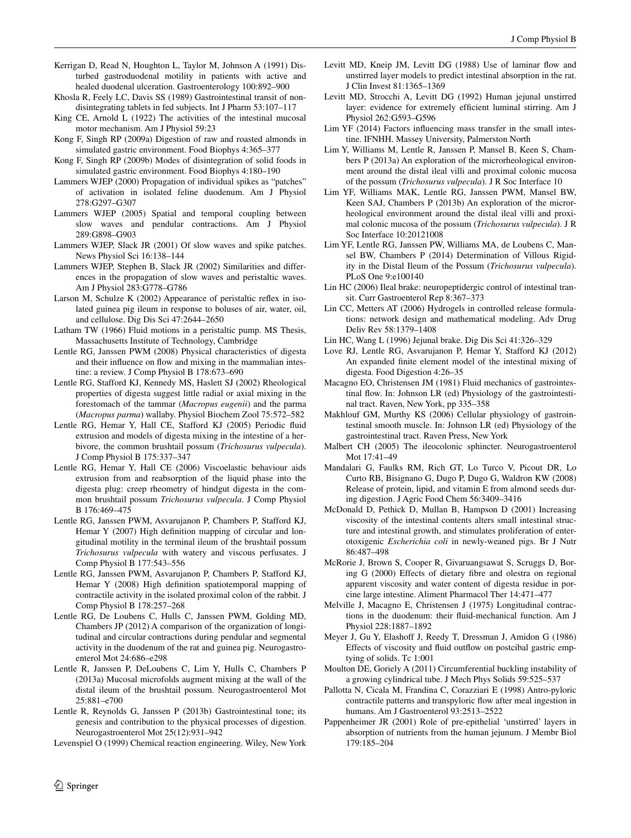- <span id="page-17-17"></span>Kerrigan D, Read N, Houghton L, Taylor M, Johnson A (1991) Disturbed gastroduodenal motility in patients with active and healed duodenal ulceration. Gastroenterology 100:892–900
- <span id="page-17-24"></span>Khosla R, Feely LC, Davis SS (1989) Gastrointestinal transit of nondisintegrating tablets in fed subjects. Int J Pharm 53:107–117
- <span id="page-17-34"></span>King CE, Arnold L (1922) The activities of the intestinal mucosal motor mechanism. Am J Physiol 59:23
- <span id="page-17-28"></span>Kong F, Singh RP (2009a) Digestion of raw and roasted almonds in simulated gastric environment. Food Biophys 4:365–377
- <span id="page-17-29"></span>Kong F, Singh RP (2009b) Modes of disintegration of solid foods in simulated gastric environment. Food Biophys 4:180–190
- <span id="page-17-20"></span>Lammers WJEP (2000) Propagation of individual spikes as "patches" of activation in isolated feline duodenum. Am J Physiol 278:G297–G307
- <span id="page-17-10"></span>Lammers WJEP (2005) Spatial and temporal coupling between slow waves and pendular contractions. Am J Physiol 289:G898–G903
- <span id="page-17-11"></span>Lammers WJEP, Slack JR (2001) Of slow waves and spike patches. News Physiol Sci 16:138–144
- <span id="page-17-16"></span>Lammers WJEP, Stephen B, Slack JR (2002) Similarities and differences in the propagation of slow waves and peristaltic waves. Am J Physiol 283:G778–G786
- <span id="page-17-27"></span>Larson M, Schulze K (2002) Appearance of peristaltic reflex in isolated guinea pig ileum in response to boluses of air, water, oil, and cellulose. Dig Dis Sci 47:2644–2650
- <span id="page-17-3"></span>Latham TW (1966) Fluid motions in a peristaltic pump. MS Thesis, Massachusetts Institute of Technology, Cambridge
- <span id="page-17-14"></span>Lentle RG, Janssen PWM (2008) Physical characteristics of digesta and their influence on flow and mixing in the mammalian intestine: a review. J Comp Physiol B 178:673–690
- <span id="page-17-6"></span>Lentle RG, Stafford KJ, Kennedy MS, Haslett SJ (2002) Rheological properties of digesta suggest little radial or axial mixing in the forestomach of the tammar (*Macropus eugenii*) and the parma (*Macropus parma*) wallaby. Physiol Biochem Zool 75:572–582
- <span id="page-17-15"></span>Lentle RG, Hemar Y, Hall CE, Stafford KJ (2005) Periodic fluid extrusion and models of digesta mixing in the intestine of a herbivore, the common brushtail possum (*Trichosurus vulpecula*). J Comp Physiol B 175:337–347
- <span id="page-17-7"></span>Lentle RG, Hemar Y, Hall CE (2006) Viscoelastic behaviour aids extrusion from and reabsorption of the liquid phase into the digesta plug: creep rheometry of hindgut digesta in the common brushtail possum *Trichosurus vulpecula*. J Comp Physiol B 176:469–475
- <span id="page-17-18"></span>Lentle RG, Janssen PWM, Asvarujanon P, Chambers P, Stafford KJ, Hemar Y (2007) High definition mapping of circular and longitudinal motility in the terminal ileum of the brushtail possum *Trichosurus vulpecula* with watery and viscous perfusates. J Comp Physiol B 177:543–556
- <span id="page-17-13"></span>Lentle RG, Janssen PWM, Asvarujanon P, Chambers P, Stafford KJ, Hemar Y (2008) High definition spatiotemporal mapping of contractile activity in the isolated proximal colon of the rabbit. J Comp Physiol B 178:257–268
- <span id="page-17-4"></span>Lentle RG, De Loubens C, Hulls C, Janssen PWM, Golding MD, Chambers JP (2012) A comparison of the organization of longitudinal and circular contractions during pendular and segmental activity in the duodenum of the rat and guinea pig. Neurogastroenterol Mot 24:686–e298
- <span id="page-17-25"></span>Lentle R, Janssen P, DeLoubens C, Lim Y, Hulls C, Chambers P (2013a) Mucosal microfolds augment mixing at the wall of the distal ileum of the brushtail possum. Neurogastroenterol Mot 25:881–e700
- <span id="page-17-1"></span>Lentle R, Reynolds G, Janssen P (2013b) Gastrointestinal tone; its genesis and contribution to the physical processes of digestion. Neurogastroenterol Mot 25(12):931–942

<span id="page-17-2"></span>Levenspiel O (1999) Chemical reaction engineering. Wiley, New York

- <span id="page-17-38"></span>Levitt MD, Kneip JM, Levitt DG (1988) Use of laminar flow and unstirred layer models to predict intestinal absorption in the rat. J Clin Invest 81:1365–1369
- <span id="page-17-37"></span>Levitt MD, Strocchi A, Levitt DG (1992) Human jejunal unstirred layer: evidence for extremely efficient luminal stirring. Am J Physiol 262:G593–G596
- <span id="page-17-33"></span>Lim YF (2014) Factors influencing mass transfer in the small intestine. IFNHH. Massey University, Palmerston North
- <span id="page-17-39"></span>Lim Y, Williams M, Lentle R, Janssen P, Mansel B, Keen S, Chambers P (2013a) An exploration of the microrheological environment around the distal ileal villi and proximal colonic mucosa of the possum (*Trichosurus vulpecula*). J R Soc Interface 10
- <span id="page-17-9"></span>Lim YF, Williams MAK, Lentle RG, Janssen PWM, Mansel BW, Keen SAJ, Chambers P (2013b) An exploration of the microrheological environment around the distal ileal villi and proximal colonic mucosa of the possum (*Trichosurus vulpecula*). J R Soc Interface 10:20121008
- <span id="page-17-35"></span>Lim YF, Lentle RG, Janssen PW, Williams MA, de Loubens C, Mansel BW, Chambers P (2014) Determination of Villous Rigidity in the Distal Ileum of the Possum (*Trichosurus vulpecula*). PLoS One 9:e100140
- <span id="page-17-21"></span>Lin HC (2006) Ileal brake: neuropeptidergic control of intestinal transit. Curr Gastroenterol Rep 8:367–373
- <span id="page-17-40"></span>Lin CC, Metters AT (2006) Hydrogels in controlled release formulations: network design and mathematical modeling. Adv Drug Deliv Rev 58:1379–1408
- <span id="page-17-22"></span>Lin HC, Wang L (1996) Jejunal brake. Dig Dis Sci 41:326–329
- <span id="page-17-19"></span>Love RJ, Lentle RG, Asvarujanon P, Hemar Y, Stafford KJ (2012) An expanded finite element model of the intestinal mixing of digesta. Food Digestion 4:26–35
- <span id="page-17-12"></span>Macagno EO, Christensen JM (1981) Fluid mechanics of gastrointestinal flow. In: Johnson LR (ed) Physiology of the gastrointestinal tract. Raven, New York, pp 335–358
- <span id="page-17-26"></span>Makhlouf GM, Murthy KS (2006) Cellular physiology of gastrointestinal smooth muscle. In: Johnson LR (ed) Physiology of the gastrointestinal tract. Raven Press, New York
- <span id="page-17-23"></span>Malbert CH (2005) The ileocolonic sphincter. Neurogastroenterol Mot 17:41–49
- <span id="page-17-30"></span>Mandalari G, Faulks RM, Rich GT, Lo Turco V, Picout DR, Lo Curto RB, Bisignano G, Dugo P, Dugo G, Waldron KW (2008) Release of protein, lipid, and vitamin E from almond seeds during digestion. J Agric Food Chem 56:3409–3416
- <span id="page-17-8"></span>McDonald D, Pethick D, Mullan B, Hampson D (2001) Increasing viscosity of the intestinal contents alters small intestinal structure and intestinal growth, and stimulates proliferation of enterotoxigenic *Escherichia coli* in newly-weaned pigs. Br J Nutr 86:487–498
- <span id="page-17-32"></span>McRorie J, Brown S, Cooper R, Givaruangsawat S, Scruggs D, Boring G (2000) Effects of dietary fibre and olestra on regional apparent viscosity and water content of digesta residue in porcine large intestine. Aliment Pharmacol Ther 14:471–477
- <span id="page-17-0"></span>Melville J, Macagno E, Christensen J (1975) Longitudinal contractions in the duodenum: their fluid-mechanical function. Am J Physiol 228:1887–1892
- <span id="page-17-31"></span>Meyer J, Gu Y, Elashoff J, Reedy T, Dressman J, Amidon G (1986) Effects of viscosity and fluid outflow on postcibal gastric emptying of solids. Tc 1:001
- <span id="page-17-36"></span>Moulton DE, Goriely A (2011) Circumferential buckling instability of a growing cylindrical tube. J Mech Phys Solids 59:525–537
- <span id="page-17-5"></span>Pallotta N, Cicala M, Frandina C, Corazziari E (1998) Antro-pyloric contractile patterns and transpyloric flow after meal ingestion in humans. Am J Gastroenterol 93:2513–2522
- <span id="page-17-41"></span>Pappenheimer JR (2001) Role of pre-epithelial 'unstirred' layers in absorption of nutrients from the human jejunum. J Membr Biol 179:185–204